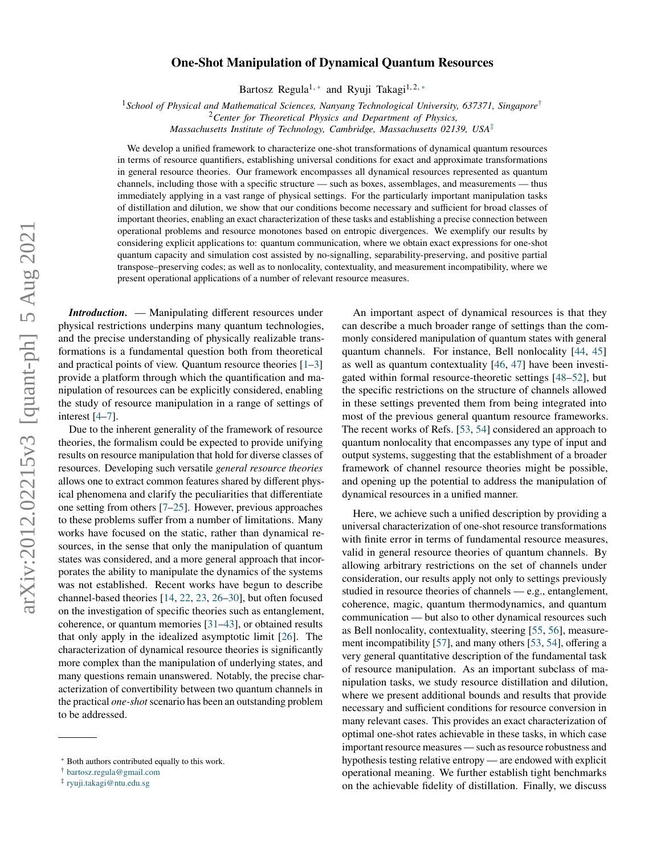# $arXiv:2012.02215v3$  [quant-ph] 5 Aug 2021 arXiv:2012.02215v3 [quant-ph] 5 Aug 2021

# **One-Shot Manipulation of Dynamical Quantum Resources**

Bartosz Regula<sup>1,\*</sup> and Ryuji Takagi<sup>1,2,\*</sup>

<sup>1</sup>*School of Physical and Mathematical Sciences, Nanyang Technological University, 637371, Singapore*[†](#page-0-1)

<sup>2</sup>*Center for Theoretical Physics and Department of Physics,*

*Massachusetts Institute of Technology, Cambridge, Massachusetts 02139, USA*[‡](#page-0-2)

We develop a unified framework to characterize one-shot transformations of dynamical quantum resources in terms of resource quantifiers, establishing universal conditions for exact and approximate transformations in general resource theories. Our framework encompasses all dynamical resources represented as quantum channels, including those with a specific structure — such as boxes, assemblages, and measurements — thus immediately applying in a vast range of physical settings. For the particularly important manipulation tasks of distillation and dilution, we show that our conditions become necessary and sufficient for broad classes of important theories, enabling an exact characterization of these tasks and establishing a precise connection between operational problems and resource monotones based on entropic divergences. We exemplify our results by considering explicit applications to: quantum communication, where we obtain exact expressions for one-shot quantum capacity and simulation cost assisted by no-signalling, separability-preserving, and positive partial transpose–preserving codes; as well as to nonlocality, contextuality, and measurement incompatibility, where we present operational applications of a number of relevant resource measures.

*Introduction.* — Manipulating different resources under physical restrictions underpins many quantum technologies, and the precise understanding of physically realizable transformations is a fundamental question both from theoretical and practical points of view. Quantum resource theories [\[1–](#page-4-0)[3\]](#page-4-1) provide a platform through which the quantification and manipulation of resources can be explicitly considered, enabling the study of resource manipulation in a range of settings of interest [\[4](#page-4-2)[–7\]](#page-4-3).

Due to the inherent generality of the framework of resource theories, the formalism could be expected to provide unifying results on resource manipulation that hold for diverse classes of resources. Developing such versatile *general resource theories* allows one to extract common features shared by different physical phenomena and clarify the peculiarities that differentiate one setting from others [\[7–](#page-4-3)[25\]](#page-5-0). However, previous approaches to these problems suffer from a number of limitations. Many works have focused on the static, rather than dynamical resources, in the sense that only the manipulation of quantum states was considered, and a more general approach that incorporates the ability to manipulate the dynamics of the systems was not established. Recent works have begun to describe channel-based theories [\[14,](#page-4-4) [22,](#page-5-1) [23,](#page-5-2) [26](#page-5-3)[–30\]](#page-5-4), but often focused on the investigation of specific theories such as entanglement, coherence, or quantum memories [\[31](#page-5-5)[–43\]](#page-5-6), or obtained results that only apply in the idealized asymptotic limit [\[26\]](#page-5-3). The characterization of dynamical resource theories is significantly more complex than the manipulation of underlying states, and many questions remain unanswered. Notably, the precise characterization of convertibility between two quantum channels in the practical *one-shot* scenario has been an outstanding problem to be addressed.

An important aspect of dynamical resources is that they can describe a much broader range of settings than the commonly considered manipulation of quantum states with general quantum channels. For instance, Bell nonlocality [\[44,](#page-5-7) [45\]](#page-5-8) as well as quantum contextuality [\[46,](#page-5-9) [47\]](#page-5-10) have been investigated within formal resource-theoretic settings [\[48–](#page-5-11)[52\]](#page-5-12), but the specific restrictions on the structure of channels allowed in these settings prevented them from being integrated into most of the previous general quantum resource frameworks. The recent works of Refs. [\[53,](#page-5-13) [54\]](#page-5-14) considered an approach to quantum nonlocality that encompasses any type of input and output systems, suggesting that the establishment of a broader framework of channel resource theories might be possible, and opening up the potential to address the manipulation of dynamical resources in a unified manner.

Here, we achieve such a unified description by providing a universal characterization of one-shot resource transformations with finite error in terms of fundamental resource measures, valid in general resource theories of quantum channels. By allowing arbitrary restrictions on the set of channels under consideration, our results apply not only to settings previously studied in resource theories of channels — e.g., entanglement, coherence, magic, quantum thermodynamics, and quantum communication — but also to other dynamical resources such as Bell nonlocality, contextuality, steering [\[55,](#page-5-15) [56\]](#page-5-16), measurement incompatibility [\[57\]](#page-5-17), and many others [\[53,](#page-5-13) [54\]](#page-5-14), offering a very general quantitative description of the fundamental task of resource manipulation. As an important subclass of manipulation tasks, we study resource distillation and dilution, where we present additional bounds and results that provide necessary and sufficient conditions for resource conversion in many relevant cases. This provides an exact characterization of optimal one-shot rates achievable in these tasks, in which case important resource measures — such as resource robustness and hypothesis testing relative entropy — are endowed with explicit operational meaning. We further establish tight benchmarks on the achievable fidelity of distillation. Finally, we discuss

<span id="page-0-0"></span><sup>∗</sup> Both authors contributed equally to this work.

<span id="page-0-1"></span><sup>†</sup> [bartosz.regula@gmail.com](mailto:bartosz.regula@gmail.com)

<span id="page-0-2"></span><sup>‡</sup> [ryuji.takagi@ntu.edu.sg](mailto:ryuji.takagi@ntu.edu.sg)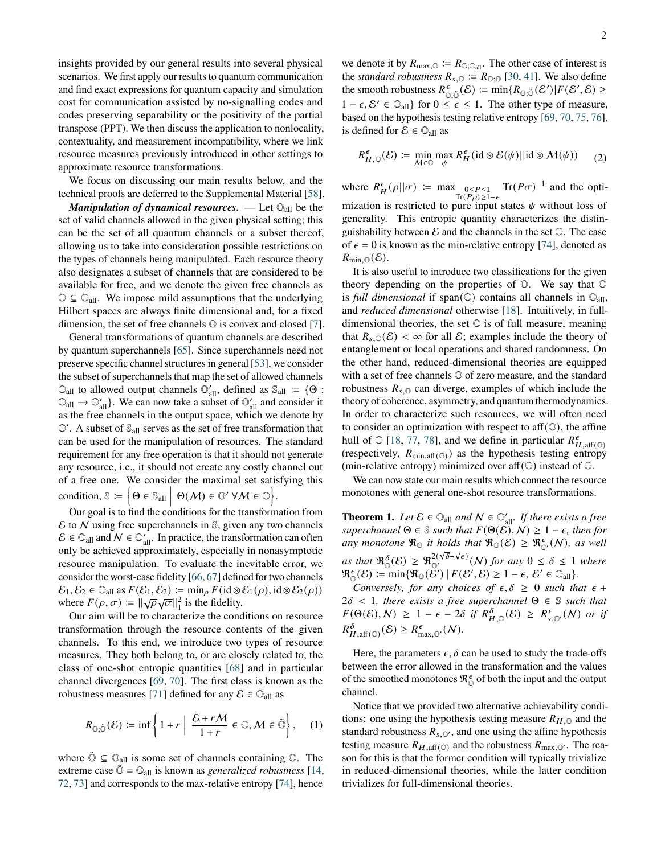insights provided by our general results into several physical scenarios. We first apply our results to quantum communication and find exact expressions for quantum capacity and simulation cost for communication assisted by no-signalling codes and codes preserving separability or the positivity of the partial transpose (PPT). We then discuss the application to nonlocality, contextuality, and measurement incompatibility, where we link resource measures previously introduced in other settings to approximate resource transformations.

We focus on discussing our main results below, and the technical proofs are deferred to the Supplemental Material [\[58\]](#page-5-18).

*Manipulation of dynamical resources.* — Let  $\mathbb{O}_{all}$  be the set of valid channels allowed in the given physical setting; this can be the set of all quantum channels or a subset thereof, allowing us to take into consideration possible restrictions on the types of channels being manipulated. Each resource theory also designates a subset of channels that are considered to be available for free, and we denote the given free channels as  $\mathbb{O} \subseteq \mathbb{O}_{all}$ . We impose mild assumptions that the underlying Hilbert spaces are always finite dimensional and, for a fixed dimension, the set of free channels  $\mathbb O$  is convex and closed [\[7\]](#page-4-3).

General transformations of quantum channels are described by quantum superchannels [\[65\]](#page-5-19). Since superchannels need not preserve specific channel structures in general [\[53\]](#page-5-13), we consider the subset of superchannels that map the set of allowed channels  $\mathbb{O}_{\text{all}}$  to allowed output channels  $\mathbb{O}'_{\text{all}}$ , defined as  $\mathbb{S}_{\text{all}} \coloneqq \{\Theta :$  $\mathbb{O}_{all} \to \mathbb{O}'_{all}$ . We can now take a subset of  $\mathbb{O}'_{all}$  and consider it as the free channels in the output space, which we denote by  $\mathbb{O}'$ . A subset of  $\mathbb{S}_{all}$  serves as the set of free transformation that can be used for the manipulation of resources. The standard requirement for any free operation is that it should not generate any resource, i.e., it should not create any costly channel out of a free one. We consider the maximal set satisfying this condition,  $\mathbb{S} \coloneqq \left\{ \Theta \in \mathbb{S}_{\text{all}} \; \middle| \; \Theta(\mathcal{M}) \in \mathbb{O}' \; \forall \mathcal{M} \in \mathbb{O} \right\}$ .

Our goal is to find the conditions for the transformation from  $\mathcal E$  to  $\mathcal N$  using free superchannels in  $\mathbb S$ , given any two channels  $\mathcal{E} \in \mathbb{O}_{\text{all}}$  and  $\mathcal{N} \in \mathbb{O}_{\text{all}}'$ . In practice, the transformation can often only be achieved approximately, especially in nonasymptotic resource manipulation. To evaluate the inevitable error, we consider the worst-case fidelity [\[66,](#page-5-20) [67\]](#page-6-0) defined for two channels  $\mathcal{E}_1, \mathcal{E}_2 \in \mathbb{O}_{\text{all}}$  as  $F(\mathcal{E}_1, \mathcal{E}_2) \coloneqq \min_{\rho} F(\text{id} \otimes \mathcal{E}_1(\rho), \text{id} \otimes \mathcal{E}_2(\rho))$ where  $F(\rho, \sigma) := ||\sqrt{\rho}\sqrt{\sigma}||_1^2$  is the fidelity.

Our aim will be to characterize the conditions on resource transformation through the resource contents of the given channels. To this end, we introduce two types of resource measures. They both belong to, or are closely related to, the class of one-shot entropic quantities [\[68\]](#page-6-1) and in particular channel divergences [\[69,](#page-6-2) [70\]](#page-6-3). The first class is known as the robustness measures [\[71\]](#page-6-4) defined for any  $\mathcal{E} \in \mathbb{O}_{all}$  as

<span id="page-1-1"></span>
$$
R_{\mathbb{O};\tilde{\mathbb{O}}}(\mathcal{E}) \coloneqq \inf \left\{ 1 + r \left| \begin{array}{c} \mathcal{E} + r \mathcal{M} \\ \hline 1 + r \end{array} \in \mathbb{O}, \mathcal{M} \in \tilde{\mathbb{O}} \right. \right\}, \quad (1)
$$

where  $\tilde{O} \subseteq O_{all}$  is some set of channels containing  $O$ . The extreme case  $\tilde{\mathbb{O}} = \mathbb{O}_{all}$  is known as *generalized robustness* [\[14,](#page-4-4) [72,](#page-6-5) [73\]](#page-6-6) and corresponds to the max-relative entropy [\[74\]](#page-6-7), hence

we denote it by  $R_{\text{max},\odot} := R_{\odot;\odot_{\text{all}}}$ . The other case of interest is the *standard robustness*  $R_{s,0} \coloneqq R_{0,0}$  [\[30,](#page-5-4) [41\]](#page-5-21). We also define the smooth robustness  $R_{\odot}^{\epsilon}$  $\sum_{\substack{0, \tilde{0} \\ \ldots \tilde{0}}}^{\epsilon}(\mathcal{E}) \coloneqq \min \{ R_{\mathbb{O}, \tilde{0}}(\mathcal{E}') | F(\mathcal{E}', \mathcal{E}) \geq$  $1 - \epsilon$ ,  $\mathcal{E}' \in \mathbb{O}_{all}$  for  $0 \leq \epsilon \leq 1$ . The other type of measure, based on the hypothesis testing relative entropy [\[69,](#page-6-2) [70,](#page-6-3) [75,](#page-6-8) [76\]](#page-6-9), is defined for  $\mathcal{E} \in \mathbb{O}_{all}$  as

$$
R_{H,\mathbb{Q}}^{\epsilon}(\mathcal{E}) \coloneqq \min_{\mathcal{M} \in \mathbb{Q}} \max_{\psi} R_H^{\epsilon}(\text{id} \otimes \mathcal{E}(\psi) || \text{id} \otimes \mathcal{M}(\psi)) \tag{2}
$$

where  $R_H^{\epsilon}(\rho||\sigma) := \max_{\substack{0 \le P \le \mathbb{1} \\ \text{Tr}(P\rho) \ge 1-\epsilon}} \text{Tr}(P\sigma)^{-1}$  and the optimization is restricted to pure input states  $\psi$  without loss of generality. This entropic quantity characterizes the distinguishability between  $\mathcal E$  and the channels in the set  $\mathbb O$ . The case of  $\epsilon = 0$  is known as the min-relative entropy [\[74\]](#page-6-7), denoted as  $R_{\text{min.}\odot}(\mathcal{E}).$ 

It is also useful to introduce two classifications for the given theory depending on the properties of O. We say that O is *full dimensional* if span( $\circledcirc$ ) contains all channels in  $\circledcirc_{\text{all}}$ , and *reduced dimensional* otherwise [\[18\]](#page-4-5). Intuitively, in fulldimensional theories, the set  $\mathbb O$  is of full measure, meaning that  $R_{s,0}(\mathcal{E}) < \infty$  for all  $\mathcal{E}$ ; examples include the theory of entanglement or local operations and shared randomness. On the other hand, reduced-dimensional theories are equipped with a set of free channels  $\odot$  of zero measure, and the standard robustness  $R_{s,0}$  can diverge, examples of which include the theory of coherence, asymmetry, and quantum thermodynamics. In order to characterize such resources, we will often need to consider an optimization with respect to aff $(\mathbb{O})$ , the affine hull of  $\odot$  [\[18,](#page-4-5) [77,](#page-6-10) [78\]](#page-6-11), and we define in particular  $R_{H,\text{aff}}^{\epsilon}(\odot)$ (respectively,  $R_{\text{min,aff}(\mathbb{O})}$ ) as the hypothesis testing entropy (min-relative entropy) minimized over aff  $(\mathbb{O})$  instead of  $\mathbb{O}$ .

We can now state our main results which connect the resource monotones with general one-shot resource transformations.

<span id="page-1-0"></span>**Theorem 1.** Let  $\mathcal{E} \in \mathbb{O}_{all}$  and  $N \in \mathbb{O}_{all}$ . If there exists a free *superchannel*  $\Theta \in \mathcal{S}$  *such that*  $F(\Theta(\mathcal{E}), N) \geq 1 - \epsilon$ , *then for any monotone*  $\Re_0$  *it holds that*  $\Re_0(\mathcal{E}) \geq \Re_{\mathbb{O}'}^{\epsilon}(\mathcal{N})$ *, as well as that*  $\Re_{\mathbb{O}}^{\delta}(\mathcal{E}) \geq \Re_{\mathbb{O}'}^{2(\sqrt{\delta}+\sqrt{\epsilon})}(N)$  *for any*  $0 \leq \delta \leq 1$  *where*  $\mathfrak{R}_{\mathbb{O}}^{\epsilon}(\mathcal{E}) \coloneqq \min \{ \mathfrak{R}_{\mathbb{O}}(\mathcal{E}') \mid F(\mathcal{E}', \mathcal{E}) \geq 1 - \epsilon, \, \mathcal{E}' \in \mathbb{O}_{\text{all}} \}.$ 

*Conversely, for any choices of*  $\epsilon, \delta \geq 0$  *such that*  $\epsilon$  +  $2\delta$  < 1*, there exists a free superchannel*  $\Theta \in \mathbb{S}$  *such that*  $F(\Theta(\mathcal{E}), \mathcal{N}) \geq 1 - \epsilon - 2\delta \text{ if } R_{H,\mathbb{Q}}^{\delta}(\mathcal{E}) \geq R_{s,\mathbb{Q}'}^{\epsilon}(\mathcal{N}) \text{ or if}$  $R_{H,\text{aff}(\mathbb{O})}^{\delta}(\mathcal{E}) \geq R_{\text{max},\mathbb{O}'}^{\epsilon}(\mathcal{N}).$ 

Here, the parameters  $\epsilon$ ,  $\delta$  can be used to study the trade-offs between the error allowed in the transformation and the values of the smoothed monotones  $\mathfrak{R}_{\mathbb{O}}^{\epsilon}$  of both the input and the output channel.

Notice that we provided two alternative achievability conditions: one using the hypothesis testing measure  $R_{H, \mathbb{Q}}$  and the standard robustness  $R_{s,0'}$ , and one using the affine hypothesis testing measure  $R_{H, \text{aff}(\mathbb{O})}$  and the robustness  $R_{\text{max},\mathbb{O}'}$ . The reason for this is that the former condition will typically trivialize in reduced-dimensional theories, while the latter condition trivializes for full-dimensional theories.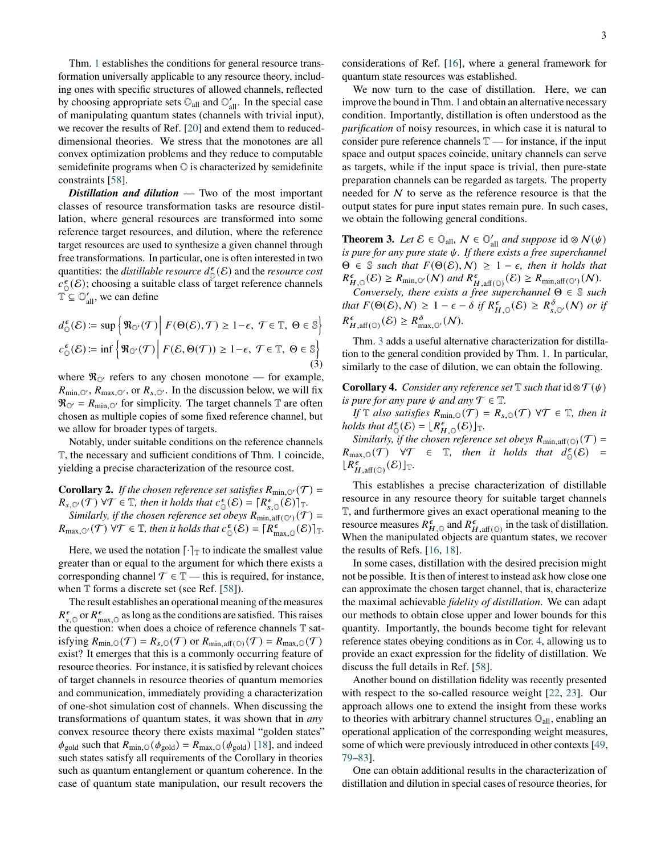Thm. [1](#page-1-0) establishes the conditions for general resource transformation universally applicable to any resource theory, including ones with specific structures of allowed channels, reflected by choosing appropriate sets  $\mathbb{O}_{all}$  and  $\mathbb{O}'_{all}$ . In the special case of manipulating quantum states (channels with trivial input), we recover the results of Ref. [\[20\]](#page-4-6) and extend them to reduceddimensional theories. We stress that the monotones are all convex optimization problems and they reduce to computable semidefinite programs when O is characterized by semidefinite constraints [\[58\]](#page-5-18).

*Distillation and dilution* — Two of the most important classes of resource transformation tasks are resource distillation, where general resources are transformed into some reference target resources, and dilution, where the reference target resources are used to synthesize a given channel through free transformations. In particular, one is often interested in two quantities: the *distillable resource*  $\int_{0}^{\epsilon}$  (*E*) and the *resource cost*  $\dot{c}$  $\epsilon$ <sub>0</sub>( $\epsilon$ ); choosing a suitable class of target reference channels  $\mathbb{T} \subseteq \mathbb{O}_{all}'$ , we can define

$$
d_{\mathbb{O}}^{\epsilon}(\mathcal{E}) \coloneqq \sup \left\{ \Re_{\mathbb{O}'}(\mathcal{T}) \middle| F(\Theta(\mathcal{E}), \mathcal{T}) \ge 1 - \epsilon, \ \mathcal{T} \in \mathbb{T}, \ \Theta \in \mathbb{S} \right\}
$$

$$
c_{\mathbb{O}}^{\epsilon}(\mathcal{E}) \coloneqq \inf \left\{ \Re_{\mathbb{O}'}(\mathcal{T}) \middle| F(\mathcal{E}, \Theta(\mathcal{T})) \ge 1 - \epsilon, \ \mathcal{T} \in \mathbb{T}, \ \Theta \in \mathbb{S} \right\}
$$
(3)

where  $\Re_{\mathbb{Q}}$  refers to any chosen monotone — for example,  $R_{\text{min},\mathbb{O}'}, R_{\text{max},\mathbb{O}'}, \text{ or } R_{s,\mathbb{O}'}$ . In the discussion below, we will fix  $\Re_{\mathbb{O}'} = R_{\min,\mathbb{O}'}$  for simplicity. The target channels T are often chosen as multiple copies of some fixed reference channel, but we allow for broader types of targets.

Notably, under suitable conditions on the reference channels T, the necessary and sufficient conditions of Thm. [1](#page-1-0) coincide, yielding a precise characterization of the resource cost.

<span id="page-2-2"></span>**Corollary 2.** *If the chosen reference set satisfies*  $R_{\min,0}(\mathcal{T}) =$  $R_{s,\mathbb{O}'}(\mathcal{T})$   $\forall \mathcal{T} \in \mathbb{T}$ , then it holds that  $c_{\mathcal{C}}^{\epsilon}$  $\mathcal{E}_{\mathbb{O}}(\mathcal{E}) = [R_{s,\mathbb{O}}^{\epsilon}(\mathcal{E})]_{\mathbb{T}}.$ *Similarly, if the chosen reference set obeys*  $R_{\min, \text{aff}(\mathbb{O}^{\prime})}(\mathcal{T}) =$  $R_{\text{max,}\mathbb{O}'}(\mathcal{T})$   $\forall \mathcal{T} \in \mathbb{T}$ , then it holds that  $c_{\mathcal{T}}^{\epsilon}$  $\mathcal{E}_{\mathbb{O}}(\mathcal{E}) = [R_{\max,\mathbb{O}}^{\epsilon}(\mathcal{E})]_{\mathbb{T}}.$ 

Here, we used the notation  $\lceil \cdot \rceil_T$  to indicate the smallest value greater than or equal to the argument for which there exists a corresponding channel  $\mathcal{T} \in \mathbb{T}$  — this is required, for instance, when  $T$  forms a discrete set (see Ref. [\[58\]](#page-5-18)).

The result establishes an operational meaning of the measures  $R_{s,\circ}^{\epsilon}$  or  $R_{\text{max},\circ}^{\epsilon}$  as long as the conditions are satisfied. This raises the question: when does a choice of reference channels T satisfying  $R_{\text{min,}\mathcal{O}}(\mathcal{T}) = R_{s,\mathcal{O}}(\mathcal{T})$  or  $R_{\text{min,aff}(\mathcal{O})}(\mathcal{T}) = R_{\text{max,}\mathcal{O}}(\mathcal{T})$ exist? It emerges that this is a commonly occurring feature of resource theories. For instance, it is satisfied by relevant choices of target channels in resource theories of quantum memories and communication, immediately providing a characterization of one-shot simulation cost of channels. When discussing the transformations of quantum states, it was shown that in *any* convex resource theory there exists maximal "golden states"  $\phi_{\text{gold}}$  such that  $R_{\text{min,O}}(\phi_{\text{gold}}) = R_{\text{max,O}}(\phi_{\text{gold}})$  [\[18\]](#page-4-5), and indeed such states satisfy all requirements of the Corollary in theories such as quantum entanglement or quantum coherence. In the case of quantum state manipulation, our result recovers the

considerations of Ref. [\[16\]](#page-4-7), where a general framework for quantum state resources was established.

We now turn to the case of distillation. Here, we can improve the bound in Thm. [1](#page-1-0) and obtain an alternative necessary condition. Importantly, distillation is often understood as the *purification* of noisy resources, in which case it is natural to consider pure reference channels  $\mathbb{T}$  — for instance, if the input space and output spaces coincide, unitary channels can serve as targets, while if the input space is trivial, then pure-state preparation channels can be regarded as targets. The property needed for  $N$  to serve as the reference resource is that the output states for pure input states remain pure. In such cases, we obtain the following general conditions.

<span id="page-2-0"></span>**Theorem 3.** *Let*  $\mathcal{E} \in \mathbb{O}_{all}$ ,  $\mathcal{N} \in \mathbb{O}'_{all}$  *and suppose* id  $\otimes \mathcal{N}(\psi)$ *is pure for any pure state*  $\psi$ *. If there exists a free superchannel*  $\Theta \in \mathbb{S}$  *such that*  $F(\Theta(\mathcal{E}), N) \geq 1 - \epsilon$ , *then it holds that*  $R_{H,\mathbb{Q}}^{\epsilon}(\mathcal{E}) \geq R_{\min,\mathbb{Q}'}(N)$  and  $R_{H,\text{aff}(\mathbb{Q})}^{\epsilon}(\mathcal{E}) \geq R_{\min,\text{aff}(\mathbb{Q}')}(N)$ .

*Conversely, there exists a free superchannel* Θ ∈ S *such that*  $F(\Theta(\mathcal{E}), \mathcal{N}) \geq 1 - \epsilon - \delta$  *if*  $R_{H,\mathbb{Q}}^{\epsilon}(\mathcal{E}) \geq R_{s,\mathbb{Q}}^{\delta}(\mathcal{N})$  *or if*  $R_{H,\text{aff}(\mathbb{O})}^{\epsilon}(\mathcal{E}) \geq R_{\text{max},\mathbb{O}'}^{\delta}(\mathcal{N}).$ 

Thm. [3](#page-2-0) adds a useful alternative characterization for distillation to the general condition provided by Thm. [1.](#page-1-0) In particular, similarly to the case of dilution, we can obtain the following.

<span id="page-2-1"></span>**Corollary 4.** *Consider any reference set*  $\mathbb T$  *such that*  $id \otimes \mathcal T(\psi)$ *is pure for any pure*  $\psi$  *and any*  $\mathcal{T} \in \mathbb{T}$ *.* 

*If*  $\mathbb{T}$  *also satisfies*  $R_{\min,0}(\mathcal{T}) = R_{s,0}(\mathcal{T}) \ \forall \mathcal{T} \in \mathbb{T}$ *, then it holds that*  $\mathcal{L}_{\mathbb{O}}(\mathcal{E}) = [R_{H,\mathbb{O}}^{\epsilon}(\mathcal{E})]_{\mathbb{T}}.$ 

*Similarly, if the chosen reference set obeys*  $R_{\min, \text{aff}(O)}(\mathcal{T}) =$  $R_{\max,\mathbb{Q}}(\mathcal{T}) \quad \forall \mathcal{T} \in \mathbb{T}$ , then it holds that  $d_{\mathbb{Q}}^{\epsilon}$  $_{\mathbb{O}}^{\epsilon}(\mathcal{E})$  =  $[R_{H,\text{aff}(\mathbb{O})}^{\epsilon}(\mathcal{E})]_{\mathbb{T}}$ .

This establishes a precise characterization of distillable resource in any resource theory for suitable target channels T, and furthermore gives an exact operational meaning to the resource measures  $R_{H,\odot}^{\epsilon}$  and  $R_{H,\text{aff}(\odot)}^{\epsilon}$  in the task of distillation. When the manipulated objects are quantum states, we recover the results of Refs. [\[16,](#page-4-7) [18\]](#page-4-5).

In some cases, distillation with the desired precision might not be possible. It is then of interest to instead ask how close one can approximate the chosen target channel, that is, characterize the maximal achievable *fidelity of distillation*. We can adapt our methods to obtain close upper and lower bounds for this quantity. Importantly, the bounds become tight for relevant reference states obeying conditions as in Cor. [4,](#page-2-1) allowing us to provide an exact expression for the fidelity of distillation. We discuss the full details in Ref. [\[58\]](#page-5-18).

Another bound on distillation fidelity was recently presented with respect to the so-called resource weight [\[22,](#page-5-1) [23\]](#page-5-2). Our approach allows one to extend the insight from these works to theories with arbitrary channel structures  $\mathbb{O}_{all}$ , enabling an operational application of the corresponding weight measures, some of which were previously introduced in other contexts [\[49,](#page-5-22) [79–](#page-6-12)[83\]](#page-6-13).

One can obtain additional results in the characterization of distillation and dilution in special cases of resource theories, for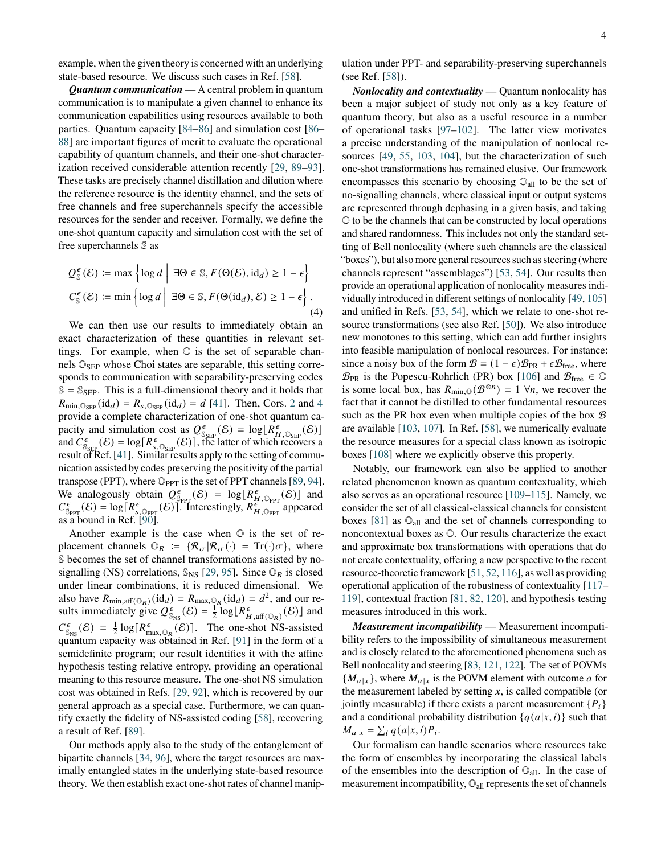*Quantum communication* — A central problem in quantum communication is to manipulate a given channel to enhance its communication capabilities using resources available to both parties. Quantum capacity [\[84–](#page-6-14)[86\]](#page-6-15) and simulation cost [\[86–](#page-6-15) [88\]](#page-6-16) are important figures of merit to evaluate the operational capability of quantum channels, and their one-shot characterization received considerable attention recently [\[29,](#page-5-23) [89–](#page-6-17)[93\]](#page-6-18). These tasks are precisely channel distillation and dilution where the reference resource is the identity channel, and the sets of free channels and free superchannels specify the accessible resources for the sender and receiver. Formally, we define the one-shot quantum capacity and simulation cost with the set of free superchannels S as

$$
Q_{\mathbb{S}}^{\epsilon}(\mathcal{E}) \coloneqq \max \left\{ \log d \mid \exists \Theta \in \mathbb{S}, F(\Theta(\mathcal{E}), \mathrm{id}_d) \ge 1 - \epsilon \right\}
$$
  

$$
C_{\mathbb{S}}^{\epsilon}(\mathcal{E}) \coloneqq \min \left\{ \log d \mid \exists \Theta \in \mathbb{S}, F(\Theta(\mathrm{id}_d), \mathcal{E}) \ge 1 - \epsilon \right\}.
$$
  
(4)

We can then use our results to immediately obtain an exact characterization of these quantities in relevant settings. For example, when  $\mathbb O$  is the set of separable channels  $\mathbb{O}_{\text{SEP}}$  whose Choi states are separable, this setting corresponds to communication with separability-preserving codes  $\mathbb{S} = \mathbb{S}_{\text{SEP}}$ . This is a full-dimensional theory and it holds that  $R_{\text{min,}\mathbb{O}_{\text{SEP}}}(\text{id}_d) = R_{s,\mathbb{O}_{\text{SEP}}}(\text{id}_d) = d$  [\[41\]](#page-5-21). Then, Cors. [2](#page-2-2) and [4](#page-2-1) provide a complete characterization of one-shot quantum capacity and simulation cost as  $Q_{\rm s}^{\epsilon}$  $\frac{\epsilon}{\mathbb{S}_{\text{SEP}}}(\mathcal{E}) = \log \left[ R_H^{\epsilon}, \mathbb{O}_{\text{SEP}}(\mathcal{E}) \right]$ and  $\dot{C}_\text{g}^{\epsilon}$  $\mathcal{S}_{\text{SEP}}(\mathcal{E}) = \log[\mathcal{R}_{\mathcal{S}_{\text{S}} \cup \text{SEP}}^{\epsilon}(\mathcal{E})]$ , the latter of which recovers a result of Ref. [\[41\]](#page-5-21). Similar results apply to the setting of communication assisted by codes preserving the positivity of the partial transpose (PPT), where  $\mathbb{O}_{PPT}$  is the set of PPT channels [\[89,](#page-6-17) [94\]](#page-6-19). We analogously obtain  $Q_{\rm s}^{\epsilon}$  $\frac{\epsilon}{\text{SppT}}(\mathcal{E}) = \log \left[ R_H^{\epsilon} \right]_{\text{QppT}}(\mathcal{E})$  and  $C_{\infty}^{\epsilon}$  $S_{\text{PPT}}(\mathcal{E}) = \log[R_{s, \text{QPPT}}^{\epsilon}(\mathcal{E})]$ . Interestingly,  $R_{H, \text{QPPT}}^{\epsilon}$  appeared as a bound in Ref. [\[90\]](#page-6-20).

Another example is the case when  $\mathbb O$  is the set of replacement channels  $\mathbb{O}_R := \{ \mathcal{R}_{\sigma} | \mathcal{R}_{\sigma}(\cdot) = \text{Tr}(\cdot) \sigma \}$ , where S becomes the set of channel transformations assisted by nosignalling (NS) correlations,  $\mathbb{S}_{\text{NS}}$  [\[29,](#page-5-23) [95\]](#page-6-21). Since  $\mathbb{O}_R$  is closed under linear combinations, it is reduced dimensional. We also have  $R_{\min, \text{aff}(\mathbb{O}_R)}(\text{id}_d) = R_{\max, \mathbb{O}_R}(\text{id}_d) = d^2$ , and our results immediately give  $Q_{\rm s}^{\epsilon}$  $\frac{\epsilon}{\mathbb{S}_{\text{NS}}}(\mathcal{E}) = \frac{1}{2} \log [R_{H, \text{aff}}^{\epsilon}(\mathbb{O}_R)(\mathcal{E})]$  and  $C_{\infty}^{\epsilon}$  $\frac{\epsilon}{\mathbb{S}_{\text{NS}}}(\mathcal{E}) = \frac{1}{2} \log [R_{\text{max},\mathbb{Q}_R}^{\epsilon}(\mathcal{E})].$  The one-shot NS-assisted quantum capacity was obtained in Ref. [\[91\]](#page-6-22) in the form of a semidefinite program; our result identifies it with the affine hypothesis testing relative entropy, providing an operational meaning to this resource measure. The one-shot NS simulation cost was obtained in Refs. [\[29,](#page-5-23) [92\]](#page-6-23), which is recovered by our general approach as a special case. Furthermore, we can quantify exactly the fidelity of NS-assisted coding [\[58\]](#page-5-18), recovering a result of Ref. [\[89\]](#page-6-17).

Our methods apply also to the study of the entanglement of bipartite channels [\[34,](#page-5-24) [96\]](#page-6-24), where the target resources are maximally entangled states in the underlying state-based resource theory. We then establish exact one-shot rates of channel manipulation under PPT- and separability-preserving superchannels (see Ref. [\[58\]](#page-5-18)).

*Nonlocality and contextuality* — Quantum nonlocality has been a major subject of study not only as a key feature of quantum theory, but also as a useful resource in a number of operational tasks [\[97](#page-6-25)[–102\]](#page-6-26). The latter view motivates a precise understanding of the manipulation of nonlocal resources [\[49,](#page-5-22) [55,](#page-5-15) [103,](#page-6-27) [104\]](#page-6-28), but the characterization of such one-shot transformations has remained elusive. Our framework encompasses this scenario by choosing  $\mathbb{O}_{all}$  to be the set of no-signalling channels, where classical input or output systems are represented through dephasing in a given basis, and taking O to be the channels that can be constructed by local operations and shared randomness. This includes not only the standard setting of Bell nonlocality (where such channels are the classical "boxes"), but also more general resources such as steering (where channels represent "assemblages") [\[53,](#page-5-13) [54\]](#page-5-14). Our results then provide an operational application of nonlocality measures individually introduced in different settings of nonlocality [\[49,](#page-5-22) [105\]](#page-6-29) and unified in Refs. [\[53,](#page-5-13) [54\]](#page-5-14), which we relate to one-shot resource transformations (see also Ref. [\[50\]](#page-5-25)). We also introduce new monotones to this setting, which can add further insights into feasible manipulation of nonlocal resources. For instance: since a noisy box of the form  $\mathcal{B} = (1 - \epsilon) \mathcal{B}_{PR} + \epsilon \mathcal{B}_{free}$ , where  $\mathcal{B}_{PR}$  is the Popescu-Rohrlich (PR) box [\[106\]](#page-6-30) and  $\mathcal{B}_{free} \in \mathbb{O}$ is some local box, has  $R_{\text{min},\mathbb{O}}(\mathcal{B}^{\otimes n}) = 1$   $\forall n$ , we recover the fact that it cannot be distilled to other fundamental resources such as the PR box even when multiple copies of the box  $\mathcal B$ are available [\[103,](#page-6-27) [107\]](#page-6-31). In Ref. [\[58\]](#page-5-18), we numerically evaluate the resource measures for a special class known as isotropic boxes [\[108\]](#page-6-32) where we explicitly observe this property.

Notably, our framework can also be applied to another related phenomenon known as quantum contextuality, which also serves as an operational resource [\[109](#page-6-33)[–115\]](#page-7-0). Namely, we consider the set of all classical-classical channels for consistent boxes [\[81\]](#page-6-34) as  $\mathbb{O}_{all}$  and the set of channels corresponding to noncontextual boxes as O. Our results characterize the exact and approximate box transformations with operations that do not create contextuality, offering a new perspective to the recent resource-theoretic framework [\[51,](#page-5-26) [52,](#page-5-12) [116\]](#page-7-1), as well as providing operational application of the robustness of contextuality [\[117–](#page-7-2) [119\]](#page-7-3), contextual fraction [\[81,](#page-6-34) [82,](#page-6-35) [120\]](#page-7-4), and hypothesis testing measures introduced in this work.

*Measurement incompatibility* — Measurement incompatibility refers to the impossibility of simultaneous measurement and is closely related to the aforementioned phenomena such as Bell nonlocality and steering [\[83,](#page-6-13) [121,](#page-7-5) [122\]](#page-7-6). The set of POVMs  ${M_{a}}_x$ , where  $M_{a}$  is the POVM element with outcome a for the measurement labeled by setting  $x$ , is called compatible (or jointly measurable) if there exists a parent measurement  $\{P_i\}$ and a conditional probability distribution  $\{q(a|x, i)\}\$  such that  $M_{a|x} = \sum_i q(a|x,i)P_i.$ 

Our formalism can handle scenarios where resources take the form of ensembles by incorporating the classical labels of the ensembles into the description of  $\mathbb{O}_{all}$ . In the case of measurement incompatibility,  $\mathbb{O}_{all}$  represents the set of channels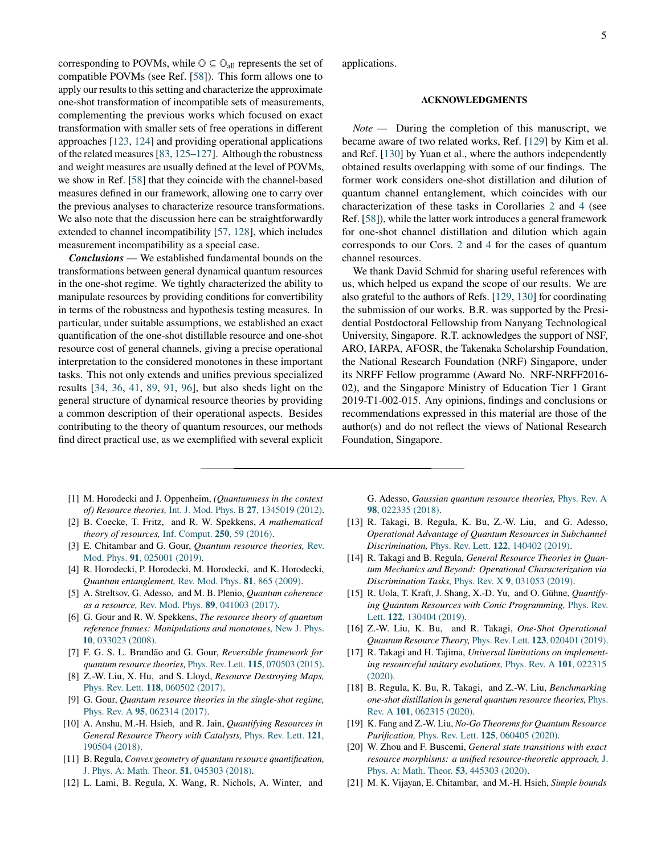corresponding to POVMs, while  $\mathbb{O} \subseteq \mathbb{O}_{all}$  represents the set of compatible POVMs (see Ref. [\[58\]](#page-5-18)). This form allows one to apply our results to this setting and characterize the approximate one-shot transformation of incompatible sets of measurements, complementing the previous works which focused on exact transformation with smaller sets of free operations in different approaches [\[123,](#page-7-7) [124\]](#page-7-8) and providing operational applications of the related measures [\[83,](#page-6-13) [125–](#page-7-9)[127\]](#page-7-10). Although the robustness and weight measures are usually defined at the level of POVMs, we show in Ref. [\[58\]](#page-5-18) that they coincide with the channel-based measures defined in our framework, allowing one to carry over the previous analyses to characterize resource transformations. We also note that the discussion here can be straightforwardly extended to channel incompatibility [\[57,](#page-5-17) [128\]](#page-7-11), which includes measurement incompatibility as a special case.

*Conclusions* — We established fundamental bounds on the transformations between general dynamical quantum resources in the one-shot regime. We tightly characterized the ability to manipulate resources by providing conditions for convertibility in terms of the robustness and hypothesis testing measures. In particular, under suitable assumptions, we established an exact quantification of the one-shot distillable resource and one-shot resource cost of general channels, giving a precise operational interpretation to the considered monotones in these important tasks. This not only extends and unifies previous specialized results [\[34,](#page-5-24) [36,](#page-5-27) [41,](#page-5-21) [89,](#page-6-17) [91,](#page-6-22) [96\]](#page-6-24), but also sheds light on the general structure of dynamical resource theories by providing a common description of their operational aspects. Besides contributing to the theory of quantum resources, our methods find direct practical use, as we exemplified with several explicit applications.

# **ACKNOWLEDGMENTS**

*Note —* During the completion of this manuscript, we became aware of two related works, Ref. [\[129\]](#page-7-12) by Kim et al. and Ref. [\[130\]](#page-7-13) by Yuan et al., where the authors independently obtained results overlapping with some of our findings. The former work considers one-shot distillation and dilution of quantum channel entanglement, which coincides with our characterization of these tasks in Corollaries [2](#page-2-2) and [4](#page-2-1) (see Ref. [\[58\]](#page-5-18)), while the latter work introduces a general framework for one-shot channel distillation and dilution which again corresponds to our Cors. [2](#page-2-2) and [4](#page-2-1) for the cases of quantum channel resources.

We thank David Schmid for sharing useful references with us, which helped us expand the scope of our results. We are also grateful to the authors of Refs. [\[129,](#page-7-12) [130\]](#page-7-13) for coordinating the submission of our works. B.R. was supported by the Presidential Postdoctoral Fellowship from Nanyang Technological University, Singapore. R.T. acknowledges the support of NSF, ARO, IARPA, AFOSR, the Takenaka Scholarship Foundation, the National Research Foundation (NRF) Singapore, under its NRFF Fellow programme (Award No. NRF-NRFF2016- 02), and the Singapore Ministry of Education Tier 1 Grant 2019-T1-002-015. Any opinions, findings and conclusions or recommendations expressed in this material are those of the author(s) and do not reflect the views of National Research Foundation, Singapore.

- <span id="page-4-0"></span>[1] M. Horodecki and J. Oppenheim, *(Quantumness in the context of) Resource theories,* [Int. J. Mod. Phys. B](http://dx.doi.org/ 10.1142/S0217979213450197) **27**, 1345019 (2012).
- [2] B. Coecke, T. Fritz, and R. W. Spekkens, *A mathematical theory of resources,* [Inf. Comput.](http://dx.doi.org/10.1016/j.ic.2016.02.008) **250**, 59 (2016).
- <span id="page-4-1"></span>[3] E. Chitambar and G. Gour, *Quantum resource theories,* [Rev.](http://dx.doi.org/10.1103/RevModPhys.91.025001) Mod. Phys. **91**[, 025001 \(2019\).](http://dx.doi.org/10.1103/RevModPhys.91.025001)
- <span id="page-4-2"></span>[4] R. Horodecki, P. Horodecki, M. Horodecki, and K. Horodecki, *Quantum entanglement,* [Rev. Mod. Phys.](http://dx.doi.org/10.1103/RevModPhys.81.865) **81**, 865 (2009).
- [5] A. Streltsov, G. Adesso, and M. B. Plenio, *Quantum coherence as a resource,* Rev. Mod. Phys. **89**[, 041003 \(2017\).](http://dx.doi.org/10.1103/RevModPhys.89.041003)
- [6] G. Gour and R. W. Spekkens, *The resource theory of quantum reference frames: Manipulations and monotones,* [New J. Phys.](http://dx.doi.org/10.1088/1367-2630/10/3/033023) **10**[, 033023 \(2008\).](http://dx.doi.org/10.1088/1367-2630/10/3/033023)
- <span id="page-4-3"></span>[7] F. G. S. L. Brandão and G. Gour, *Reversible framework for quantum resource theories,* Phys. Rev. Lett. **115**[, 070503 \(2015\).](http://dx.doi.org/ 10.1103/PhysRevLett.115.070503)
- [8] Z.-W. Liu, X. Hu, and S. Lloyd, *Resource Destroying Maps,* Phys. Rev. Lett. **118**[, 060502 \(2017\).](http://dx.doi.org/10.1103/PhysRevLett.118.060502)
- [9] G. Gour, *Quantum resource theories in the single-shot regime,* Phys. Rev. A **95**[, 062314 \(2017\).](http://dx.doi.org/ 10.1103/PhysRevA.95.062314)
- [10] A. Anshu, M.-H. Hsieh, and R. Jain, *Quantifying Resources in General Resource Theory with Catalysts,* [Phys. Rev. Lett.](http://dx.doi.org/ 10.1103/PhysRevLett.121.190504) **121**, [190504 \(2018\).](http://dx.doi.org/ 10.1103/PhysRevLett.121.190504)
- [11] B. Regula, *Convex geometry of quantum resource quantification,* [J. Phys. A: Math. Theor.](http://dx.doi.org/ 10.1088/1751-8121/aa9100) **51**, 045303 (2018).
- [12] L. Lami, B. Regula, X. Wang, R. Nichols, A. Winter, and

G. Adesso, *Gaussian quantum resource theories,* [Phys. Rev. A](http://dx.doi.org/ 10.1103/PhysRevA.98.022335) **98**[, 022335 \(2018\).](http://dx.doi.org/ 10.1103/PhysRevA.98.022335)

- [13] R. Takagi, B. Regula, K. Bu, Z.-W. Liu, and G. Adesso, *Operational Advantage of Quantum Resources in Subchannel Discrimination,* Phys. Rev. Lett. **122**[, 140402 \(2019\).](http://dx.doi.org/ 10.1103/PhysRevLett.122.140402)
- <span id="page-4-4"></span>[14] R. Takagi and B. Regula, *General Resource Theories in Quantum Mechanics and Beyond: Operational Characterization via Discrimination Tasks,* Phys. Rev. X **9**[, 031053 \(2019\).](http://dx.doi.org/ 10.1103/PhysRevX.9.031053)
- [15] R. Uola, T. Kraft, J. Shang, X.-D. Yu, and O. Gühne, *Quantifying Quantum Resources with Conic Programming,* [Phys. Rev.](http://dx.doi.org/10.1103/PhysRevLett.122.130404) Lett. **122**[, 130404 \(2019\).](http://dx.doi.org/10.1103/PhysRevLett.122.130404)
- <span id="page-4-7"></span>[16] Z.-W. Liu, K. Bu, and R. Takagi, *One-Shot Operational Quantum Resource Theory,* Phys. Rev. Lett. **123**[, 020401 \(2019\).](http://dx.doi.org/10.1103/PhysRevLett.123.020401)
- [17] R. Takagi and H. Tajima, *Universal limitations on implementing resourceful unitary evolutions,* [Phys. Rev. A](http://dx.doi.org/10.1103/PhysRevA.101.022315) **101**, 022315 [\(2020\).](http://dx.doi.org/10.1103/PhysRevA.101.022315)
- <span id="page-4-5"></span>[18] B. Regula, K. Bu, R. Takagi, and Z.-W. Liu, *Benchmarking one-shot distillation in general quantum resource theories,* [Phys.](http://dx.doi.org/10.1103/PhysRevA.101.062315) Rev. A **101**[, 062315 \(2020\).](http://dx.doi.org/10.1103/PhysRevA.101.062315)
- [19] K. Fang and Z.-W. Liu, *No-Go Theorems for Quantum Resource Purification,* Phys. Rev. Lett. **125**[, 060405 \(2020\).](http://dx.doi.org/ 10.1103/PhysRevLett.125.060405)
- <span id="page-4-6"></span>[20] W. Zhou and F. Buscemi, *General state transitions with exact resource morphisms: a unified resource-theoretic approach,* [J.](http://dx.doi.org/10.1088/1751-8121/abafe5) [Phys. A: Math. Theor.](http://dx.doi.org/10.1088/1751-8121/abafe5) **53**, 445303 (2020).
- [21] M. K. Vijayan, E. Chitambar, and M.-H. Hsieh, *Simple bounds*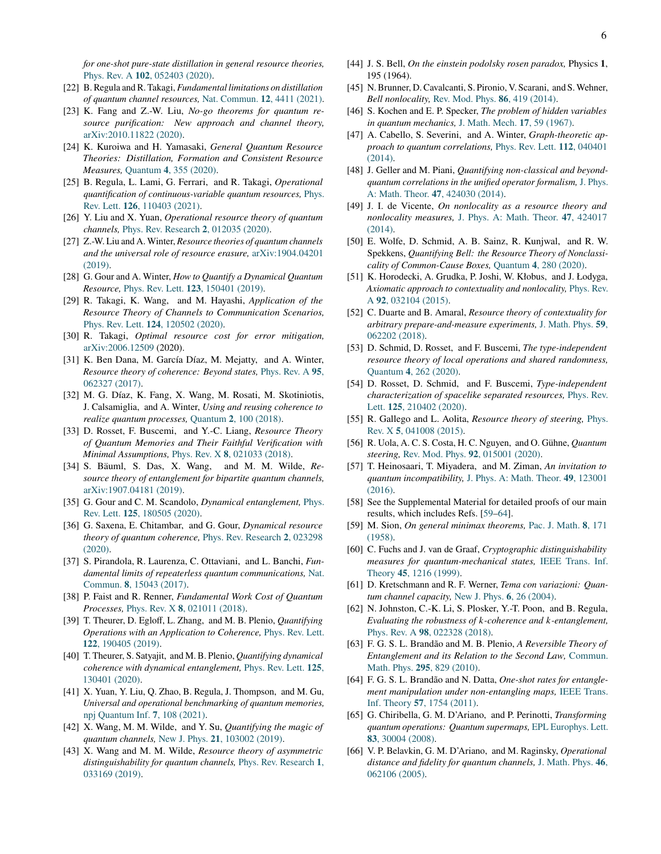*for one-shot pure-state distillation in general resource theories,* Phys. Rev. A **102**[, 052403 \(2020\).](http://dx.doi.org/ 10.1103/PhysRevA.102.052403)

- <span id="page-5-1"></span>[22] B. Regula and R. Takagi, *Fundamental limitations on distillation of quantum channel resources,* [Nat. Commun.](http://dx.doi.org/ 10.1038/s41467-021-24699-0) **12**, 4411 (2021).
- <span id="page-5-2"></span>[23] K. Fang and Z.-W. Liu, *No-go theorems for quantum resource purification: New approach and channel theory,* [arXiv:2010.11822](http://arxiv.org/abs/2010.11822) (2020).
- [24] K. Kuroiwa and H. Yamasaki, *General Quantum Resource Theories: Distillation, Formation and Consistent Resource Measures,* Quantum **4**[, 355 \(2020\).](http://dx.doi.org/10.22331/q-2020-11-01-355)
- <span id="page-5-0"></span>[25] B. Regula, L. Lami, G. Ferrari, and R. Takagi, *Operational quantification of continuous-variable quantum resources,* [Phys.](http://dx.doi.org/ 10.1103/PhysRevLett.126.110403) Rev. Lett. **126**[, 110403 \(2021\).](http://dx.doi.org/ 10.1103/PhysRevLett.126.110403)
- <span id="page-5-3"></span>[26] Y. Liu and X. Yuan, *Operational resource theory of quantum channels,* [Phys. Rev. Research](http://dx.doi.org/10.1103/PhysRevResearch.2.012035) **2**, 012035 (2020).
- [27] Z.-W. Liu and A. Winter, *Resource theories of quantum channels and the universal role of resource erasure,* [arXiv:1904.04201](http://arxiv.org/abs/1904.04201) [\(2019\).](http://arxiv.org/abs/1904.04201)
- [28] G. Gour and A. Winter, *How to Quantify a Dynamical Quantum Resource,* Phys. Rev. Lett. **123**[, 150401 \(2019\).](http://dx.doi.org/ 10.1103/PhysRevLett.123.150401)
- <span id="page-5-23"></span>[29] R. Takagi, K. Wang, and M. Hayashi, *Application of the Resource Theory of Channels to Communication Scenarios,* Phys. Rev. Lett. **124**[, 120502 \(2020\).](http://dx.doi.org/ 10.1103/PhysRevLett.124.120502)
- <span id="page-5-4"></span>[30] R. Takagi, *Optimal resource cost for error mitigation,* [arXiv:2006.12509](http://arxiv.org/abs/2006.12509) (2020).
- <span id="page-5-5"></span>[31] K. Ben Dana, M. García Díaz, M. Mejatty, and A. Winter, *Resource theory of coherence: Beyond states,* [Phys. Rev. A](http://dx.doi.org/10.1103/PhysRevA.95.062327) **95**, [062327 \(2017\).](http://dx.doi.org/10.1103/PhysRevA.95.062327)
- [32] M. G. Díaz, K. Fang, X. Wang, M. Rosati, M. Skotiniotis, J. Calsamiglia, and A. Winter, *Using and reusing coherence to realize quantum processes,* Quantum **2**[, 100 \(2018\).](http://dx.doi.org/10.22331/q-2018-10-19-100)
- [33] D. Rosset, F. Buscemi, and Y.-C. Liang, *Resource Theory of Quantum Memories and Their Faithful Verification with Minimal Assumptions,* Phys. Rev. X **8**[, 021033 \(2018\).](http://dx.doi.org/10.1103/PhysRevX.8.021033)
- <span id="page-5-24"></span>[34] S. Bäuml, S. Das, X. Wang, and M. M. Wilde, *Resource theory of entanglement for bipartite quantum channels,* [arXiv:1907.04181](http://arxiv.org/abs/1907.04181) (2019).
- [35] G. Gour and C. M. Scandolo, *Dynamical entanglement,* [Phys.](http://dx.doi.org/10.1103/PhysRevLett.125.180505) Rev. Lett. **125**[, 180505 \(2020\).](http://dx.doi.org/10.1103/PhysRevLett.125.180505)
- <span id="page-5-27"></span>[36] G. Saxena, E. Chitambar, and G. Gour, *Dynamical resource theory of quantum coherence,* [Phys. Rev. Research](http://dx.doi.org/10.1103/PhysRevResearch.2.023298) **2**, 023298 [\(2020\).](http://dx.doi.org/10.1103/PhysRevResearch.2.023298)
- [37] S. Pirandola, R. Laurenza, C. Ottaviani, and L. Banchi, *Fundamental limits of repeaterless quantum communications,* [Nat.](http://dx.doi.org/10.1038/ncomms15043) Commun. **8**[, 15043 \(2017\).](http://dx.doi.org/10.1038/ncomms15043)
- [38] P. Faist and R. Renner, *Fundamental Work Cost of Quantum Processes,* Phys. Rev. X **8**[, 021011 \(2018\).](http://dx.doi.org/10.1103/PhysRevX.8.021011)
- [39] T. Theurer, D. Egloff, L. Zhang, and M. B. Plenio, *Quantifying Operations with an Application to Coherence,* [Phys. Rev. Lett.](http://dx.doi.org/10.1103/PhysRevLett.122.190405) **122**[, 190405 \(2019\).](http://dx.doi.org/10.1103/PhysRevLett.122.190405)
- [40] T. Theurer, S. Satyajit, and M. B. Plenio, *Quantifying dynamical coherence with dynamical entanglement,* [Phys. Rev. Lett.](http://dx.doi.org/ 10.1103/PhysRevLett.125.130401) **125**, [130401 \(2020\).](http://dx.doi.org/ 10.1103/PhysRevLett.125.130401)
- <span id="page-5-21"></span>[41] X. Yuan, Y. Liu, Q. Zhao, B. Regula, J. Thompson, and M. Gu, *Universal and operational benchmarking of quantum memories,* [npj Quantum Inf.](http://dx.doi.org/10.1038/s41534-021-00444-9) **7**, 108 (2021).
- [42] X. Wang, M. M. Wilde, and Y. Su, *Quantifying the magic of quantum channels,* New J. Phys. **21**[, 103002 \(2019\).](http://dx.doi.org/10.1088/1367-2630/ab451d)
- <span id="page-5-6"></span>[43] X. Wang and M. M. Wilde, *Resource theory of asymmetric distinguishability for quantum channels,* [Phys. Rev. Research](http://dx.doi.org/ 10.1103/PhysRevResearch.1.033169) **1**, [033169 \(2019\).](http://dx.doi.org/ 10.1103/PhysRevResearch.1.033169)
- <span id="page-5-7"></span>[44] J. S. Bell, *On the einstein podolsky rosen paradox,* Physics **1**, 195 (1964).
- <span id="page-5-8"></span>[45] N. Brunner, D. Cavalcanti, S. Pironio, V. Scarani, and S. Wehner, *Bell nonlocality,* [Rev. Mod. Phys.](http://dx.doi.org/ 10.1103/RevModPhys.86.419) **86**, 419 (2014).
- <span id="page-5-9"></span>[46] S. Kochen and E. P. Specker, *The problem of hidden variables in quantum mechanics,* [J. Math. Mech.](http://www.jstor.org/stable/24902153) **17**, 59 (1967).
- <span id="page-5-10"></span>[47] A. Cabello, S. Severini, and A. Winter, *Graph-theoretic approach to quantum correlations,* [Phys. Rev. Lett.](http://dx.doi.org/10.1103/PhysRevLett.112.040401) **112**, 040401 [\(2014\).](http://dx.doi.org/10.1103/PhysRevLett.112.040401)
- <span id="page-5-11"></span>[48] J. Geller and M. Piani, *Quantifying non-classical and beyondquantum correlations in the unified operator formalism,* [J. Phys.](http://dx.doi.org/10.1088/1751-8113/47/42/424030) A: Math. Theor. **47**[, 424030 \(2014\).](http://dx.doi.org/10.1088/1751-8113/47/42/424030)
- <span id="page-5-22"></span>[49] J. I. de Vicente, *On nonlocality as a resource theory and nonlocality measures,* [J. Phys. A: Math. Theor.](http://dx.doi.org/ 10.1088/1751-8113/47/42/424017) **47**, 424017 [\(2014\).](http://dx.doi.org/ 10.1088/1751-8113/47/42/424017)
- <span id="page-5-25"></span>[50] E. Wolfe, D. Schmid, A. B. Sainz, R. Kunjwal, and R. W. Spekkens, *Quantifying Bell: the Resource Theory of Nonclassicality of Common-Cause Boxes,* Quantum **4**[, 280 \(2020\).](http://dx.doi.org/ 10.22331/q-2020-06-08-280)
- <span id="page-5-26"></span>[51] K. Horodecki, A. Grudka, P. Joshi, W. Kłobus, and J. Łodyga, *Axiomatic approach to contextuality and nonlocality,* [Phys. Rev.](http://dx.doi.org/10.1103/PhysRevA.92.032104) A **92**[, 032104 \(2015\).](http://dx.doi.org/10.1103/PhysRevA.92.032104)
- <span id="page-5-12"></span>[52] C. Duarte and B. Amaral, *Resource theory of contextuality for arbitrary prepare-and-measure experiments,* [J. Math. Phys.](http://dx.doi.org/10.1063/1.5018582) **59**, [062202 \(2018\).](http://dx.doi.org/10.1063/1.5018582)
- <span id="page-5-13"></span>[53] D. Schmid, D. Rosset, and F. Buscemi, *The type-independent resource theory of local operations and shared randomness,* Quantum **4**[, 262 \(2020\).](http://dx.doi.org/ 10.22331/q-2020-04-30-262)
- <span id="page-5-14"></span>[54] D. Rosset, D. Schmid, and F. Buscemi, *Type-independent characterization of spacelike separated resources,* [Phys. Rev.](http://dx.doi.org/ 10.1103/PhysRevLett.125.210402) Lett. **125**[, 210402 \(2020\).](http://dx.doi.org/ 10.1103/PhysRevLett.125.210402)
- <span id="page-5-15"></span>[55] R. Gallego and L. Aolita, *Resource theory of steering,* [Phys.](http://dx.doi.org/10.1103/PhysRevX.5.041008) Rev. X **5**[, 041008 \(2015\).](http://dx.doi.org/10.1103/PhysRevX.5.041008)
- <span id="page-5-16"></span>[56] R. Uola, A. C. S. Costa, H. C. Nguyen, and O. Gühne, *Quantum steering,* Rev. Mod. Phys. **92**[, 015001 \(2020\).](http://dx.doi.org/ 10.1103/RevModPhys.92.015001)
- <span id="page-5-17"></span>[57] T. Heinosaari, T. Miyadera, and M. Ziman, *An invitation to quantum incompatibility,* [J. Phys. A: Math. Theor.](http://dx.doi.org/10.1088/1751-8113/49/12/123001) **49**, 123001 [\(2016\).](http://dx.doi.org/10.1088/1751-8113/49/12/123001)
- <span id="page-5-18"></span>[58] See the Supplemental Material for detailed proofs of our main results, which includes Refs. [\[59](#page-5-28)[–64\]](#page-5-29).
- <span id="page-5-28"></span>[59] M. Sion, *On general minimax theorems,* [Pac. J. Math.](https://msp.org/pjm/1958/8-1/p14.xhtml) **8**, 171 [\(1958\).](https://msp.org/pjm/1958/8-1/p14.xhtml)
- <span id="page-5-30"></span>[60] C. Fuchs and J. van de Graaf, *Cryptographic distinguishability measures for quantum-mechanical states,* [IEEE Trans. Inf.](http://dx.doi.org/10.1109/18.761271) Theory **45**[, 1216 \(1999\).](http://dx.doi.org/10.1109/18.761271)
- <span id="page-5-31"></span>[61] D. Kretschmann and R. F. Werner, *Tema con variazioni: Quantum channel capacity,* [New J. Phys.](http://dx.doi.org/ 10.1088/1367-2630/6/1/026) **6**, 26 (2004).
- <span id="page-5-32"></span>[62] N. Johnston, C.-K. Li, S. Plosker, Y.-T. Poon, and B. Regula, *Evaluating the robustness of k-coherence and k-entanglement,* Phys. Rev. A **98**[, 022328 \(2018\).](http://dx.doi.org/10.1103/PhysRevA.98.022328)
- <span id="page-5-33"></span>[63] F. G. S. L. Brandão and M. B. Plenio, *A Reversible Theory of Entanglement and its Relation to the Second Law,* [Commun.](http://dx.doi.org/10.1007/s00220-010-1003-1) Math. Phys. **295**[, 829 \(2010\).](http://dx.doi.org/10.1007/s00220-010-1003-1)
- <span id="page-5-29"></span>[64] F. G. S. L. Brandão and N. Datta, *One-shot rates for entanglement manipulation under non-entangling maps,* [IEEE Trans.](http://dx.doi.org/10.1109/TIT.2011.2104531) Inf. Theory **57**[, 1754 \(2011\).](http://dx.doi.org/10.1109/TIT.2011.2104531)
- <span id="page-5-19"></span>[65] G. Chiribella, G. M. D'Ariano, and P. Perinotti, *Transforming quantum operations: Quantum supermaps,* [EPL Europhys. Lett.](http://dx.doi.org/ 10.1209/0295-5075/83/30004) **83**[, 30004 \(2008\).](http://dx.doi.org/ 10.1209/0295-5075/83/30004)
- <span id="page-5-20"></span>[66] V. P. Belavkin, G. M. D'Ariano, and M. Raginsky, *Operational distance and fidelity for quantum channels,* [J. Math. Phys.](http://dx.doi.org/ 10.1063/1.1904510) **46**, [062106 \(2005\).](http://dx.doi.org/ 10.1063/1.1904510)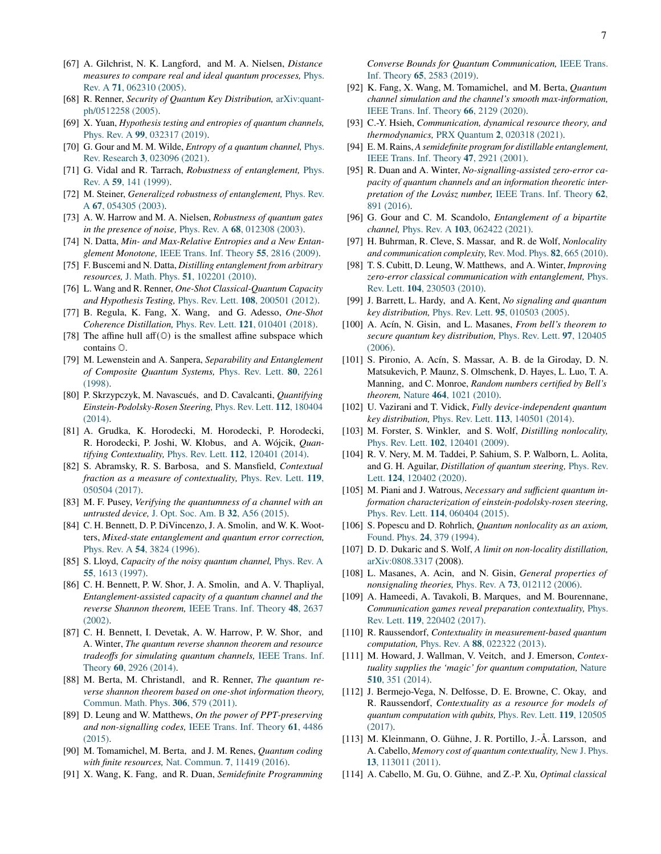- <span id="page-6-0"></span>[67] A. Gilchrist, N. K. Langford, and M. A. Nielsen, *Distance measures to compare real and ideal quantum processes,* [Phys.](http://dx.doi.org/ 10.1103/PhysRevA.71.062310) Rev. A **71**[, 062310 \(2005\).](http://dx.doi.org/ 10.1103/PhysRevA.71.062310)
- <span id="page-6-1"></span>[68] R. Renner, *Security of Quantum Key Distribution,* [arXiv:quant](http://arxiv.org/abs/quant-ph/0512258)[ph/0512258](http://arxiv.org/abs/quant-ph/0512258) (2005).
- <span id="page-6-2"></span>[69] X. Yuan, *Hypothesis testing and entropies of quantum channels,* Phys. Rev. A **99**[, 032317 \(2019\).](http://dx.doi.org/ 10.1103/PhysRevA.99.032317)
- <span id="page-6-3"></span>[70] G. Gour and M. M. Wilde, *Entropy of a quantum channel,* [Phys.](http://dx.doi.org/10.1103/PhysRevResearch.3.023096) Rev. Research **3**[, 023096 \(2021\).](http://dx.doi.org/10.1103/PhysRevResearch.3.023096)
- <span id="page-6-4"></span>[71] G. Vidal and R. Tarrach, *Robustness of entanglement,* [Phys.](http://dx.doi.org/10.1103/PhysRevA.59.141) Rev. A **59**[, 141 \(1999\).](http://dx.doi.org/10.1103/PhysRevA.59.141)
- <span id="page-6-5"></span>[72] M. Steiner, *Generalized robustness of entanglement,* [Phys. Rev.](http://dx.doi.org/10.1103/PhysRevA.67.054305) A **67**[, 054305 \(2003\).](http://dx.doi.org/10.1103/PhysRevA.67.054305)
- <span id="page-6-6"></span>[73] A. W. Harrow and M. A. Nielsen, *Robustness of quantum gates in the presence of noise,* Phys. Rev. A **68**[, 012308 \(2003\).](http://dx.doi.org/ 10.1103/PhysRevA.68.012308)
- <span id="page-6-7"></span>[74] N. Datta, *Min- and Max-Relative Entropies and a New Entanglement Monotone,* [IEEE Trans. Inf. Theory](http://dx.doi.org/10.1109/TIT.2009.2018325) **55**, 2816 (2009).
- <span id="page-6-8"></span>[75] F. Buscemi and N. Datta, *Distilling entanglement from arbitrary resources,* J. Math. Phys. **51**[, 102201 \(2010\).](http://dx.doi.org/10.1063/1.3483717)
- <span id="page-6-9"></span>[76] L. Wang and R. Renner, *One-Shot Classical-Quantum Capacity and Hypothesis Testing,* Phys. Rev. Lett. **108**[, 200501 \(2012\).](http://dx.doi.org/10.1103/PhysRevLett.108.200501)
- <span id="page-6-10"></span>[77] B. Regula, K. Fang, X. Wang, and G. Adesso, *One-Shot Coherence Distillation,* Phys. Rev. Lett. **121**[, 010401 \(2018\).](http://dx.doi.org/10.1103/PhysRevLett.121.010401)
- <span id="page-6-11"></span>[78] The affine hull aff $(0)$  is the smallest affine subspace which contains O.
- <span id="page-6-12"></span>[79] M. Lewenstein and A. Sanpera, *Separability and Entanglement of Composite Quantum Systems,* [Phys. Rev. Lett.](http://dx.doi.org/ 10.1103/PhysRevLett.80.2261) **80**, 2261 [\(1998\).](http://dx.doi.org/ 10.1103/PhysRevLett.80.2261)
- [80] P. Skrzypczyk, M. Navascués, and D. Cavalcanti, *Quantifying Einstein-Podolsky-Rosen Steering,* [Phys. Rev. Lett.](http://dx.doi.org/ 10.1103/PhysRevLett.112.180404) **112**, 180404 [\(2014\).](http://dx.doi.org/ 10.1103/PhysRevLett.112.180404)
- <span id="page-6-34"></span>[81] A. Grudka, K. Horodecki, M. Horodecki, P. Horodecki, R. Horodecki, P. Joshi, W. Kłobus, and A. Wójcik, *Quantifying Contextuality,* Phys. Rev. Lett. **112**[, 120401 \(2014\).](http://dx.doi.org/ 10.1103/PhysRevLett.112.120401)
- <span id="page-6-35"></span>[82] S. Abramsky, R. S. Barbosa, and S. Mansfield, *Contextual fraction as a measure of contextuality,* [Phys. Rev. Lett.](http://dx.doi.org/ 10.1103/PhysRevLett.119.050504) **119**, [050504 \(2017\).](http://dx.doi.org/ 10.1103/PhysRevLett.119.050504)
- <span id="page-6-13"></span>[83] M. F. Pusey, *Verifying the quantumness of a channel with an untrusted device,* [J. Opt. Soc. Am. B](http://dx.doi.org/ 10.1364/JOSAB.32.000A56) **32**, A56 (2015).
- <span id="page-6-14"></span>[84] C. H. Bennett, D. P. DiVincenzo, J. A. Smolin, and W. K. Wootters, *Mixed-state entanglement and quantum error correction,* Phys. Rev. A **54**[, 3824 \(1996\).](http://dx.doi.org/ 10.1103/PhysRevA.54.3824)
- [85] S. Lloyd, *Capacity of the noisy quantum channel,* [Phys. Rev. A](http://dx.doi.org/10.1103/PhysRevA.55.1613) **55**[, 1613 \(1997\).](http://dx.doi.org/10.1103/PhysRevA.55.1613)
- <span id="page-6-15"></span>[86] C. H. Bennett, P. W. Shor, J. A. Smolin, and A. V. Thapliyal, *Entanglement-assisted capacity of a quantum channel and the reverse Shannon theorem,* [IEEE Trans. Inf. Theory](http://dx.doi.org/ 10.1109/TIT.2002.802612) **48**, 2637 [\(2002\).](http://dx.doi.org/ 10.1109/TIT.2002.802612)
- [87] C. H. Bennett, I. Devetak, A. W. Harrow, P. W. Shor, and A. Winter, *The quantum reverse shannon theorem and resource tradeoffs for simulating quantum channels,* [IEEE Trans. Inf.](http://dx.doi.org/10.1109/TIT.2014.2309968) Theory **60**[, 2926 \(2014\).](http://dx.doi.org/10.1109/TIT.2014.2309968)
- <span id="page-6-16"></span>[88] M. Berta, M. Christandl, and R. Renner, *The quantum reverse shannon theorem based on one-shot information theory,* [Commun. Math. Phys.](http://dx.doi.org/ 10.1007/s00220-011-1309-7) **306**, 579 (2011).
- <span id="page-6-17"></span>[89] D. Leung and W. Matthews, *On the power of PPT-preserving and non-signalling codes,* [IEEE Trans. Inf. Theory](http://dx.doi.org/ 10.1109/TIT.2015.2439953) **61**, 4486 [\(2015\).](http://dx.doi.org/ 10.1109/TIT.2015.2439953)
- <span id="page-6-20"></span>[90] M. Tomamichel, M. Berta, and J. M. Renes, *Quantum coding with finite resources,* Nat. Commun. **7**[, 11419 \(2016\).](http://dx.doi.org/10.1038/ncomms11419)
- <span id="page-6-22"></span>[91] X. Wang, K. Fang, and R. Duan, *Semidefinite Programming*

*Converse Bounds for Quantum Communication,* [IEEE Trans.](http://dx.doi.org/ 10.1109/TIT.2018.2874031) Inf. Theory **65**[, 2583 \(2019\).](http://dx.doi.org/ 10.1109/TIT.2018.2874031)

- <span id="page-6-23"></span>[92] K. Fang, X. Wang, M. Tomamichel, and M. Berta, *Quantum channel simulation and the channel's smooth max-information,* [IEEE Trans. Inf. Theory](http://dx.doi.org/ 10.1109/TIT.2019.2943858) **66**, 2129 (2020).
- <span id="page-6-18"></span>[93] C.-Y. Hsieh, *Communication, dynamical resource theory, and thermodynamics,* PRX Quantum **2**[, 020318 \(2021\).](http://dx.doi.org/ 10.1103/PRXQuantum.2.020318)
- <span id="page-6-19"></span>[94] E. M. Rains, *A semidefinite program for distillable entanglement,* [IEEE Trans. Inf. Theory](http://dx.doi.org/10.1109/18.959270) **47**, 2921 (2001).
- <span id="page-6-21"></span>[95] R. Duan and A. Winter, *No-signalling-assisted zero-error capacity of quantum channels and an information theoretic interpretation of the Lovász number,* [IEEE Trans. Inf. Theory](http://dx.doi.org/10.1109/TIT.2015.2507979) **62**, [891 \(2016\).](http://dx.doi.org/10.1109/TIT.2015.2507979)
- <span id="page-6-24"></span>[96] G. Gour and C. M. Scandolo, *Entanglement of a bipartite channel,* Phys. Rev. A **103**[, 062422 \(2021\).](http://dx.doi.org/10.1103/PhysRevA.103.062422)
- <span id="page-6-25"></span>[97] H. Buhrman, R. Cleve, S. Massar, and R. de Wolf, *Nonlocality and communication complexity,* [Rev. Mod. Phys.](http://dx.doi.org/10.1103/RevModPhys.82.665) **82**, 665 (2010).
- [98] T. S. Cubitt, D. Leung, W. Matthews, and A. Winter, *Improving zero-error classical communication with entanglement,* [Phys.](http://dx.doi.org/ 10.1103/PhysRevLett.104.230503) Rev. Lett. **104**[, 230503 \(2010\).](http://dx.doi.org/ 10.1103/PhysRevLett.104.230503)
- [99] J. Barrett, L. Hardy, and A. Kent, *No signaling and quantum key distribution,* Phys. Rev. Lett. **95**[, 010503 \(2005\).](http://dx.doi.org/10.1103/PhysRevLett.95.010503)
- [100] A. Acín, N. Gisin, and L. Masanes, *From bell's theorem to secure quantum key distribution,* [Phys. Rev. Lett.](http://dx.doi.org/10.1103/PhysRevLett.97.120405) **97**, 120405 [\(2006\).](http://dx.doi.org/10.1103/PhysRevLett.97.120405)
- [101] S. Pironio, A. Acín, S. Massar, A. B. de la Giroday, D. N. Matsukevich, P. Maunz, S. Olmschenk, D. Hayes, L. Luo, T. A. Manning, and C. Monroe, *Random numbers certified by Bell's theorem,* Nature **464**[, 1021 \(2010\).](http://dx.doi.org/ 10.1038/nature09008)
- <span id="page-6-26"></span>[102] U. Vazirani and T. Vidick, *Fully device-independent quantum key distribution,* Phys. Rev. Lett. **113**[, 140501 \(2014\).](http://dx.doi.org/ 10.1103/PhysRevLett.113.140501)
- <span id="page-6-27"></span>[103] M. Forster, S. Winkler, and S. Wolf, *Distilling nonlocality,* Phys. Rev. Lett. **102**[, 120401 \(2009\).](http://dx.doi.org/ 10.1103/PhysRevLett.102.120401)
- <span id="page-6-28"></span>[104] R. V. Nery, M. M. Taddei, P. Sahium, S. P. Walborn, L. Aolita, and G. H. Aguilar, *Distillation of quantum steering,* [Phys. Rev.](http://dx.doi.org/ 10.1103/PhysRevLett.124.120402) Lett. **124**[, 120402 \(2020\).](http://dx.doi.org/ 10.1103/PhysRevLett.124.120402)
- <span id="page-6-29"></span>[105] M. Piani and J. Watrous, *Necessary and sufficient quantum information characterization of einstein-podolsky-rosen steering,* Phys. Rev. Lett. **114**[, 060404 \(2015\).](http://dx.doi.org/10.1103/PhysRevLett.114.060404)
- <span id="page-6-30"></span>[106] S. Popescu and D. Rohrlich, *Quantum nonlocality as an axiom,* [Found. Phys.](http://dx.doi.org/10.1007/BF02058098) **24**, 379 (1994).
- <span id="page-6-31"></span>[107] D. D. Dukaric and S. Wolf, *A limit on non-locality distillation,* [arXiv:0808.3317](http://arxiv.org/abs/0808.3317) (2008).
- <span id="page-6-32"></span>[108] L. Masanes, A. Acin, and N. Gisin, *General properties of nonsignaling theories,* Phys. Rev. A **73**[, 012112 \(2006\).](http://dx.doi.org/10.1103/PhysRevA.73.012112)
- <span id="page-6-33"></span>[109] A. Hameedi, A. Tavakoli, B. Marques, and M. Bourennane, *Communication games reveal preparation contextuality,* [Phys.](http://dx.doi.org/10.1103/PhysRevLett.119.220402) Rev. Lett. **119**[, 220402 \(2017\).](http://dx.doi.org/10.1103/PhysRevLett.119.220402)
- [110] R. Raussendorf, *Contextuality in measurement-based quantum computation,* Phys. Rev. A **88**[, 022322 \(2013\).](http://dx.doi.org/ 10.1103/PhysRevA.88.022322)
- [111] M. Howard, J. Wallman, V. Veitch, and J. Emerson, *Contextuality supplies the 'magic' for quantum computation,* [Nature](http://dx.doi.org/10.1038/nature13460) **510**[, 351 \(2014\).](http://dx.doi.org/10.1038/nature13460)
- [112] J. Bermejo-Vega, N. Delfosse, D. E. Browne, C. Okay, and R. Raussendorf, *Contextuality as a resource for models of quantum computation with qubits,* [Phys. Rev. Lett.](http://dx.doi.org/ 10.1103/PhysRevLett.119.120505) **119**, 120505 [\(2017\).](http://dx.doi.org/ 10.1103/PhysRevLett.119.120505)
- [113] M. Kleinmann, O. Gühne, J. R. Portillo, J.-Å. Larsson, and A. Cabello, *Memory cost of quantum contextuality,* [New J. Phys.](http://dx.doi.org/10.1088/1367-2630/13/11/113011) **13**[, 113011 \(2011\).](http://dx.doi.org/10.1088/1367-2630/13/11/113011)
- [114] A. Cabello, M. Gu, O. Gühne, and Z.-P. Xu, *Optimal classical*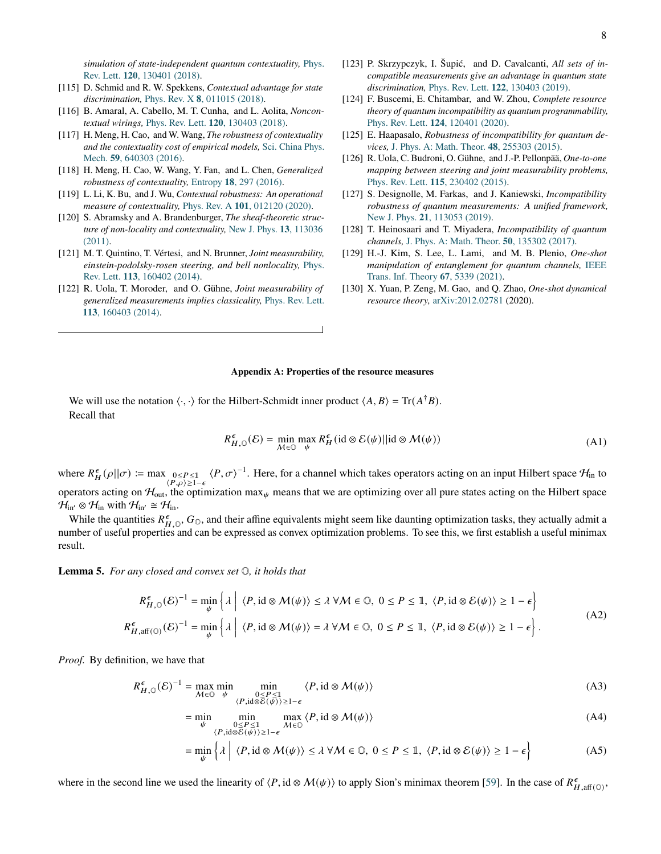*simulation of state-independent quantum contextuality,* [Phys.](http://dx.doi.org/ 10.1103/PhysRevLett.120.130401) Rev. Lett. **120**[, 130401 \(2018\).](http://dx.doi.org/ 10.1103/PhysRevLett.120.130401)

- <span id="page-7-0"></span>[115] D. Schmid and R. W. Spekkens, *Contextual advantage for state discrimination,* Phys. Rev. X **8**[, 011015 \(2018\).](http://dx.doi.org/ 10.1103/PhysRevX.8.011015)
- <span id="page-7-1"></span>[116] B. Amaral, A. Cabello, M. T. Cunha, and L. Aolita, *Noncontextual wirings,* Phys. Rev. Lett. **120**[, 130403 \(2018\).](http://dx.doi.org/ 10.1103/PhysRevLett.120.130403)
- <span id="page-7-2"></span>[117] H. Meng, H. Cao, and W. Wang, *The robustness of contextuality and the contextuality cost of empirical models,* [Sci. China Phys.](http://dx.doi.org/ 10.1007/s11433-016-5795-7) Mech. **59**[, 640303 \(2016\).](http://dx.doi.org/ 10.1007/s11433-016-5795-7)
- [118] H. Meng, H. Cao, W. Wang, Y. Fan, and L. Chen, *Generalized robustness of contextuality,* Entropy **18**[, 297 \(2016\).](http://dx.doi.org/10.3390/e18090297)
- <span id="page-7-3"></span>[119] L. Li, K. Bu, and J. Wu, *Contextual robustness: An operational measure of contextuality,* Phys. Rev. A **101**[, 012120 \(2020\).](http://dx.doi.org/10.1103/PhysRevA.101.012120)
- <span id="page-7-4"></span>[120] S. Abramsky and A. Brandenburger, *The sheaf-theoretic structure of non-locality and contextuality,* [New J. Phys.](http://dx.doi.org/10.1088/1367-2630/13/11/113036) **13**, 113036 [\(2011\).](http://dx.doi.org/10.1088/1367-2630/13/11/113036)
- <span id="page-7-5"></span>[121] M. T. Quintino, T. Vértesi, and N. Brunner, *Joint measurability, einstein-podolsky-rosen steering, and bell nonlocality,* [Phys.](http://dx.doi.org/ 10.1103/PhysRevLett.113.160402) Rev. Lett. **113**[, 160402 \(2014\).](http://dx.doi.org/ 10.1103/PhysRevLett.113.160402)
- <span id="page-7-6"></span>[122] R. Uola, T. Moroder, and O. Gühne, *Joint measurability of generalized measurements implies classicality,* [Phys. Rev. Lett.](http://dx.doi.org/ 10.1103/PhysRevLett.113.160403) **113**[, 160403 \(2014\).](http://dx.doi.org/ 10.1103/PhysRevLett.113.160403)
- <span id="page-7-7"></span>[123] P. Skrzypczyk, I. Šupić, and D. Cavalcanti, *All sets of incompatible measurements give an advantage in quantum state discrimination,* Phys. Rev. Lett. **122**[, 130403 \(2019\).](http://dx.doi.org/ 10.1103/PhysRevLett.122.130403)
- <span id="page-7-8"></span>[124] F. Buscemi, E. Chitambar, and W. Zhou, *Complete resource theory of quantum incompatibility as quantum programmability,* Phys. Rev. Lett. **124**[, 120401 \(2020\).](http://dx.doi.org/ 10.1103/PhysRevLett.124.120401)
- <span id="page-7-9"></span>[125] E. Haapasalo, *Robustness of incompatibility for quantum devices,* [J. Phys. A: Math. Theor.](http://dx.doi.org/ 10.1088/1751-8113/48/25/255303) **48**, 255303 (2015).
- <span id="page-7-15"></span>[126] R. Uola, C. Budroni, O. Gühne, and J.-P. Pellonpää, *One-to-one mapping between steering and joint measurability problems,* Phys. Rev. Lett. **115**[, 230402 \(2015\).](http://dx.doi.org/ 10.1103/PhysRevLett.115.230402)
- <span id="page-7-10"></span>[127] S. Designolle, M. Farkas, and J. Kaniewski, *Incompatibility robustness of quantum measurements: A unified framework,* New J. Phys. **21**[, 113053 \(2019\).](http://dx.doi.org/ 10.1088/1367-2630/ab5020)
- <span id="page-7-11"></span>[128] T. Heinosaari and T. Miyadera, *Incompatibility of quantum channels,* [J. Phys. A: Math. Theor.](http://dx.doi.org/10.1088/1751-8121/aa5f6b) **50**, 135302 (2017).
- <span id="page-7-12"></span>[129] H.-J. Kim, S. Lee, L. Lami, and M. B. Plenio, *One-shot manipulation of entanglement for quantum channels,* [IEEE](http://dx.doi.org/10.1109/TIT.2021.3079938) [Trans. Inf. Theory](http://dx.doi.org/10.1109/TIT.2021.3079938) **67**, 5339 (2021).
- <span id="page-7-13"></span>[130] X. Yuan, P. Zeng, M. Gao, and Q. Zhao, *One-shot dynamical resource theory,* [arXiv:2012.02781](http://arxiv.org/abs/2012.02781) (2020).

# **Appendix A: Properties of the resource measures**

We will use the notation  $\langle \cdot, \cdot \rangle$  for the Hilbert-Schmidt inner product  $\langle A, B \rangle = \text{Tr}(A^{\dagger}B)$ . Recall that

$$
R_{H,\mathbb{Q}}^{\epsilon}(\mathcal{E}) = \min_{\mathcal{M}\in\mathbb{Q}} \max_{\psi} R_H^{\epsilon}(\text{id}\otimes\mathcal{E}(\psi)||\text{id}\otimes\mathcal{M}(\psi))
$$
(A1)

where  $R_H^{\epsilon}(\rho||\sigma) := \max_{\substack{0 \le P \le \mathbb{1} \\ \langle P,\rho \rangle \ge 1-\epsilon}}$  $\langle P, \sigma \rangle^{-1}$ . Here, for a channel which takes operators acting on an input Hilbert space  $\mathcal{H}_{\text{in}}$  to operators acting on  $H_{out}$ , the optimization max<sub> $\psi$ </sub> means that we are optimizing over all pure states acting on the Hilbert space  $\mathcal{H}_{\text{in}'} \otimes \mathcal{H}_{\text{in}}$  with  $\mathcal{H}_{\text{in}'} \cong \mathcal{H}_{\text{in}}$ .

While the quantities  $R_{H,\mathbb{Q}}^{\epsilon}$ ,  $G_{\mathbb{Q}}$ , and their affine equivalents might seem like daunting optimization tasks, they actually admit a number of useful properties and can be expressed as convex optimization problems. To see this, we first establish a useful minimax result.

<span id="page-7-14"></span>**Lemma 5.** *For any closed and convex set* O*, it holds that*

$$
R_{H,0}^{\epsilon}(\mathcal{E})^{-1} = \min_{\psi} \left\{ \lambda \mid \langle P, \mathrm{id} \otimes \mathcal{M}(\psi) \rangle \le \lambda \, \forall \mathcal{M} \in \mathbb{O}, \ 0 \le P \le \mathbb{1}, \ \langle P, \mathrm{id} \otimes \mathcal{E}(\psi) \rangle \ge 1 - \epsilon \right\}
$$
\n
$$
R_{H,\mathrm{aff}(\mathbb{O})}^{\epsilon}(\mathcal{E})^{-1} = \min_{\psi} \left\{ \lambda \mid \langle P, \mathrm{id} \otimes \mathcal{M}(\psi) \rangle = \lambda \, \forall \mathcal{M} \in \mathbb{O}, \ 0 \le P \le \mathbb{1}, \ \langle P, \mathrm{id} \otimes \mathcal{E}(\psi) \rangle \ge 1 - \epsilon \right\}.
$$
\n(A2)

*Proof.* By definition, we have that

$$
R_{H,\mathbb{Q}}^{\epsilon}(\mathcal{E})^{-1} = \max_{\mathcal{M}\in\mathbb{Q}} \min_{\substack{\psi \\ \langle P,\mathrm{id}\otimes\mathcal{E}(\psi)\rangle\geq 1-\epsilon}} \langle P,\mathrm{id}\otimes\mathcal{M}(\psi)\rangle
$$
(A3)

$$
= \min_{\psi} \min_{\substack{0 \le P \le 1 \\ \langle P, \text{ id} \otimes \mathcal{E}(\psi) \rangle \ge 1-\epsilon}} \max_{\mathcal{M} \in \mathbb{O}} \langle P, \text{ id} \otimes \mathcal{M}(\psi) \rangle \tag{A4}
$$

$$
= \min_{\psi} \left\{ \lambda \mid \langle P, \mathrm{id} \otimes \mathcal{M}(\psi) \rangle \le \lambda \, \forall \mathcal{M} \in \mathbb{O}, \ 0 \le P \le \mathbb{I}, \ \langle P, \mathrm{id} \otimes \mathcal{E}(\psi) \rangle \ge 1 - \epsilon \right\} \tag{A5}
$$

where in the second line we used the linearity of  $\langle P, id \otimes M(\psi) \rangle$  to apply Sion's minimax theorem [\[59\]](#page-5-28). In the case of  $R_{H, \text{aff}(O)}^{\epsilon}$ ,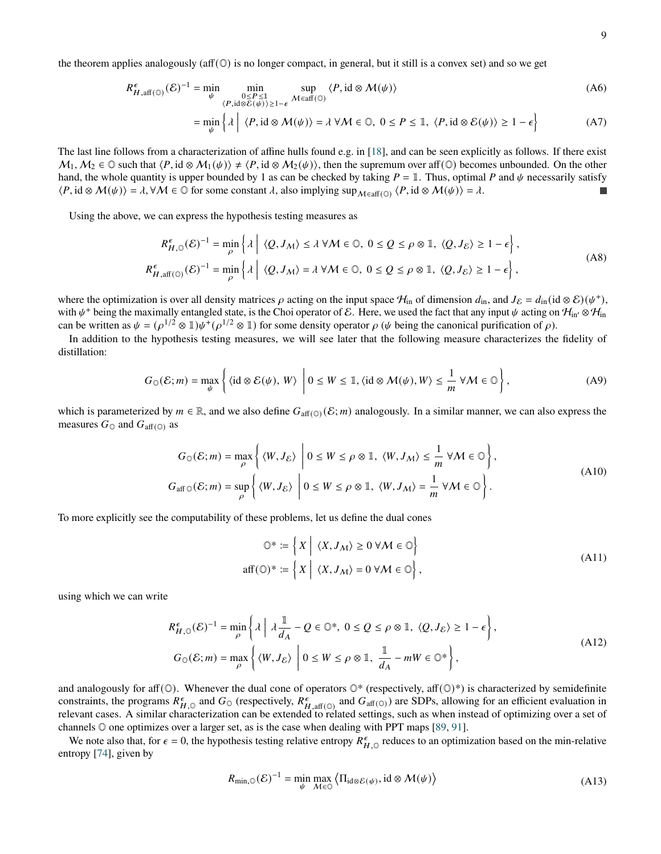the theorem applies analogously (aff $(\mathbb{O})$  is no longer compact, in general, but it still is a convex set) and so we get

$$
R_{H,\text{aff}(\mathbb{O})}^{\epsilon}(\mathcal{E})^{-1} = \min_{\psi} \min_{\substack{0 \le P \le 1 \\ \langle P, \text{id} \otimes \mathcal{E}(\psi) \rangle \ge 1-\epsilon}} \sup_{\mathcal{M} \in \text{aff}(\mathbb{O})} \langle P, \text{id} \otimes \mathcal{M}(\psi) \rangle
$$
(A6)

$$
= \min_{\psi} \left\{ \lambda \mid \langle P, \mathrm{id} \otimes \mathcal{M}(\psi) \rangle = \lambda \, \forall \mathcal{M} \in \mathbb{O}, \ 0 \le P \le \mathbb{1}, \ \langle P, \mathrm{id} \otimes \mathcal{E}(\psi) \rangle \ge 1 - \epsilon \right\} \tag{A7}
$$

The last line follows from a characterization of affine hulls found e.g. in [\[18\]](#page-4-5), and can be seen explicitly as follows. If there exist  $M_1, M_2 \in \mathbb{O}$  such that  $\langle P, id \otimes M_1(\psi) \rangle \neq \langle P, id \otimes M_2(\psi) \rangle$ , then the supremum over aff( $\mathbb{O}$ ) becomes unbounded. On the other hand, the whole quantity is upper bounded by 1 as can be checked by taking  $P = 1$ . Thus, optimal P and  $\psi$  necessarily satisfy  $\langle P, id \otimes M(\psi) \rangle = \lambda$ ,  $\forall M \in \mathbb{O}$  for some constant  $\lambda$ , also implying sup $_{M \in \text{aff}(\mathbb{O})} \langle P, id \otimes M(\psi) \rangle = \lambda$ .

Using the above, we can express the hypothesis testing measures as

$$
R_{H,0}^{\epsilon}(\mathcal{E})^{-1} = \min_{\rho} \left\{ \lambda \mid \langle Q, J_M \rangle \le \lambda \, \forall \mathcal{M} \in \mathbb{O}, \ 0 \le Q \le \rho \otimes \mathbb{1}, \ \langle Q, J_{\mathcal{E}} \rangle \ge 1 - \epsilon \right\},\
$$
\n
$$
R_{H,aff(\mathbb{O})}^{\epsilon}(\mathcal{E})^{-1} = \min_{\rho} \left\{ \lambda \mid \langle Q, J_M \rangle = \lambda \, \forall \mathcal{M} \in \mathbb{O}, \ 0 \le Q \le \rho \otimes \mathbb{1}, \ \langle Q, J_{\mathcal{E}} \rangle \ge 1 - \epsilon \right\},\
$$
\n(A8)

where the optimization is over all density matrices  $\rho$  acting on the input space  $H_{\text{in}}$  of dimension  $d_{\text{in}}$ , and  $J_{\mathcal{E}} = d_{\text{in}} (\text{id} \otimes \mathcal{E})(\psi^+),$ with  $\psi^+$  being the maximally entangled state, is the Choi operator of E. Here, we used the fact that any input  $\psi$  acting on  $\mathcal{H}_{in'} \otimes \mathcal{H}_{in}$ can be written as  $\psi = (\rho^{1/2} \otimes 1) \psi^+(\rho^{1/2} \otimes 1)$  for some density operator  $\rho$  ( $\psi$  being the canonical purification of  $\rho$ ).

In addition to the hypothesis testing measures, we will see later that the following measure characterizes the fidelity of distillation:

<span id="page-8-0"></span>
$$
G_{\mathbb{O}}(\mathcal{E};m) = \max_{\psi} \left\{ \langle \mathrm{id} \otimes \mathcal{E}(\psi), W \rangle \middle| 0 \le W \le \mathbb{1}, \langle \mathrm{id} \otimes \mathcal{M}(\psi), W \rangle \le \frac{1}{m} \ \forall \mathcal{M} \in \mathbb{O} \right\},\tag{A9}
$$

which is parameterized by  $m \in \mathbb{R}$ , and we also define  $G_{\text{aff}(\mathbb{Q})}(\mathcal{E};m)$  analogously. In a similar manner, we can also express the measures  $G_{\mathbb{O}}$  and  $G_{\text{aff}(\mathbb{O})}$  as

$$
G_{\mathbb{O}}(\mathcal{E};m) = \max_{\rho} \left\{ \langle W, J_{\mathcal{E}} \rangle \middle| 0 \le W \le \rho \otimes \mathbb{1}, \langle W, J_M \rangle \le \frac{1}{m} \ \forall \mathcal{M} \in \mathbb{O} \right\},\
$$
  

$$
G_{\text{aff}}\circ(\mathcal{E};m) = \sup_{\rho} \left\{ \langle W, J_{\mathcal{E}} \rangle \middle| 0 \le W \le \rho \otimes \mathbb{1}, \langle W, J_M \rangle = \frac{1}{m} \ \forall \mathcal{M} \in \mathbb{O} \right\}.
$$
 (A10)

To more explicitly see the computability of these problems, let us define the dual cones

$$
\mathbb{O}^* := \left\{ X \mid \langle X, J_M \rangle \ge 0 \,\forall M \in \mathbb{O} \right\}
$$
  
aff $(\mathbb{O})^* := \left\{ X \mid \langle X, J_M \rangle = 0 \,\forall M \in \mathbb{O} \right\},$  (A11)

using which we can write

$$
R_{H,0}^{\epsilon}(\mathcal{E})^{-1} = \min_{\rho} \left\{ \lambda \mid \lambda \frac{\mathbb{1}}{d_{A}} - Q \in \mathbb{O}^{*}, 0 \le Q \le \rho \otimes \mathbb{1}, \langle Q, J_{\mathcal{E}} \rangle \ge 1 - \epsilon \right\},\
$$
\n
$$
G_{\mathbb{O}}(\mathcal{E}; m) = \max_{\rho} \left\{ \langle W, J_{\mathcal{E}} \rangle \mid 0 \le W \le \rho \otimes \mathbb{1}, \frac{\mathbb{1}}{d_{A}} - mW \in \mathbb{O}^{*} \right\},\
$$
\n(A12)

and analogously for aff( $\mathbb{O}$ ). Whenever the dual cone of operators  $\mathbb{O}^*$  (respectively, aff( $\mathbb{O}^*$ ) is characterized by semidefinite constraints, the programs  $R_{H,0}^{\epsilon}$  and  $G_0$  (respectively,  $R_{H,\text{aff}(0)}^{\epsilon}$  and  $G_{\text{aff}(0)}$ ) are SDPs, allowing for an efficient evaluation in relevant cases. A similar characterization can be extended to related settings, such as when instead of optimizing over a set of channels O one optimizes over a larger set, as is the case when dealing with PPT maps [\[89,](#page-6-17) [91\]](#page-6-22).

We note also that, for  $\epsilon = 0$ , the hypothesis testing relative entropy  $R_{H,\circ}^{\epsilon}$  reduces to an optimization based on the min-relative entropy [\[74\]](#page-6-7), given by

$$
R_{\min, \mathbb{Q}}(\mathcal{E})^{-1} = \min_{\psi} \max_{\mathcal{M} \in \mathbb{Q}} \left\langle \Pi_{\text{id} \otimes \mathcal{E}(\psi)}, \text{id} \otimes \mathcal{M}(\psi) \right\rangle \tag{A13}
$$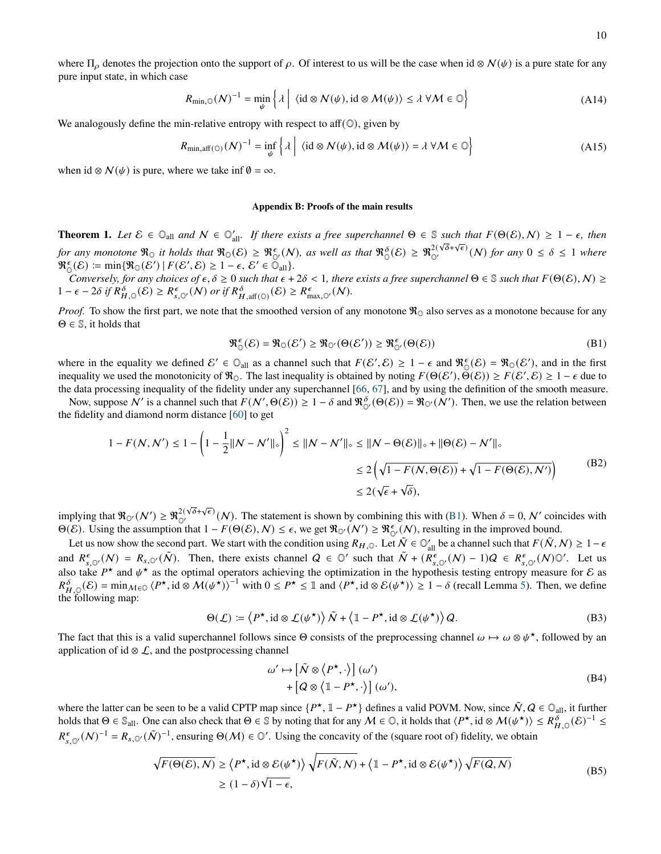where  $\Pi_{\rho}$  denotes the projection onto the support of  $\rho$ . Of interest to us will be the case when id ⊗  $\mathcal{N}(\psi)$  is a pure state for any pure input state, in which case

$$
R_{\min,\mathbb{Q}}(\mathcal{N})^{-1} = \min_{\psi} \left\{ \lambda \mid \langle id \otimes \mathcal{N}(\psi), id \otimes \mathcal{M}(\psi) \rangle \le \lambda \ \forall \mathcal{M} \in \mathbb{Q} \right\}
$$
(A14)

We analogously define the min-relative entropy with respect to aff $(\mathbb{O})$ , given by

$$
R_{\min, \text{aff}(\mathbb{O})}(N)^{-1} = \inf_{\psi} \left\{ \lambda \mid \langle id \otimes \mathcal{N}(\psi), id \otimes \mathcal{M}(\psi) \rangle = \lambda \ \forall \mathcal{M} \in \mathbb{O} \right\}
$$
(A15)

when id ⊗  $\mathcal{N}(\psi)$  is pure, where we take inf  $\emptyset = \infty$ .

# **Appendix B: Proofs of the main results**

<span id="page-9-2"></span>**Theorem 1.** Let  $\mathcal{E} \in \mathbb{O}_{all}$  and  $N \in \mathbb{O}'_{all}$ . If there exists a free superchannel  $\Theta \in \mathbb{S}$  such that  $F(\Theta(\mathcal{E}), N) \geq 1 - \epsilon$ , then *for any monotone*  $\Re_0$  *it holds that*  $\Re_0(\mathcal{E}) \geq \Re_{\mathbb{O}'}^{\epsilon}(\mathcal{N})$ *, as well as that*  $\Re_{\mathbb{O}}^{\delta}(\mathcal{E}) \geq \Re_{\mathbb{O}'}^{2(\sqrt{\delta}+\sqrt{\epsilon})}(\mathcal{N})$  *for any*  $0 \leq \delta \leq 1$  *where*  $\mathfrak{R}_{\mathbb{O}}^{\epsilon}(\mathcal{E}) \coloneqq \min \{ \mathfrak{R}_{\mathbb{O}}(\mathcal{E}') \mid F(\mathcal{E}', \mathcal{E}) \geq 1 - \epsilon, \, \mathcal{E}' \in \mathcal{O}_{\text{all}} \}.$ 

*Conversely, for any choices of*  $\epsilon, \delta \ge 0$  *such that*  $\epsilon + 2\delta < 1$ , there exists a free superchannel  $\Theta \in \mathbb{S}$  *such that*  $F(\Theta(\mathcal{E}), \mathcal{N}) \ge$  $1 - \epsilon - 2\delta$  if  $R_{H,\mathbb{Q}}^{\delta}(\mathcal{E}) \geq R_{s,\mathbb{Q}}^{\epsilon}(N)$  or if  $R_{H,\text{aff}(\mathbb{Q})}^{\delta}(\mathcal{E}) \geq R_{\text{max},\mathbb{Q}}^{\epsilon}(N)$ .

*Proof.* To show the first part, we note that the smoothed version of any monotone  $\Re$ <sub>O</sub> also serves as a monotone because for any  $\Theta \in \mathbb{S}$ , it holds that

<span id="page-9-0"></span>
$$
\mathfrak{R}_{\mathbb{O}}^{\epsilon}(\mathcal{E}) = \mathfrak{R}_{\mathbb{O}}(\mathcal{E}') \geq \mathfrak{R}_{\mathbb{O}'}(\Theta(\mathcal{E}')) \geq \mathfrak{R}_{\mathbb{O}'}^{\epsilon}(\Theta(\mathcal{E}))
$$
\n(B1)

where in the equality we defined  $\mathcal{E}' \in \mathbb{O}_{all}$  as a channel such that  $F(\mathcal{E}', \mathcal{E}) \geq 1 - \epsilon$  and  $\mathfrak{R}_{\mathbb{O}}(\mathcal{E}) = \mathfrak{R}_{\mathbb{O}}(\mathcal{E}')$ , and in the first inequality we used the monotonicity of  $\mathcal{R}_{\mathbb{O}}$ . The last inequality is obtained by noting  $F(\Theta(\mathcal{E}'), \breve{\Theta}(\mathcal{E})) \ge F(\mathcal{E}', \mathcal{E}) \ge 1 - \epsilon$  due to the data processing inequality of the fidelity under any superchannel [\[66,](#page-5-20) [67\]](#page-6-0), and by using the definition of the smooth measure.

Now, suppose  $N'$  is a channel such that  $F(N', \Theta(\mathcal{E})) \geq 1 - \delta$  and  $\Re_{\Theta'}^{\delta}(\Theta(\mathcal{E})) = \Re_{\Theta'}(\mathcal{N}')$ . Then, we use the relation between the fidelity and diamond norm distance [\[60\]](#page-5-30) to get

$$
1 - F(N, N') \le 1 - \left(1 - \frac{1}{2} \|N - N'\|_{\diamond}\right)^2 \le \|N - N'\|_{\diamond} \le \|N - \Theta(\mathcal{E})\|_{\diamond} + \|\Theta(\mathcal{E}) - N'\|_{\diamond}
$$
  
\n
$$
\le 2\left(\sqrt{1 - F(N, \Theta(\mathcal{E}))} + \sqrt{1 - F(\Theta(\mathcal{E}), N')}\right) \tag{B2}
$$
  
\n
$$
\le 2(\sqrt{\epsilon} + \sqrt{\delta}),
$$

implying that  $\Re_{\mathcal{O}'}(\mathcal{N}') \ge \Re_{\mathcal{O}'}^{2(\sqrt{\delta}+\sqrt{\epsilon})}(\mathcal{N})$ . The statement is shown by combining this with [\(B1\)](#page-9-0). When  $\delta = 0, \mathcal{N}'$  coincides with  $\Theta(\mathcal{E})$ . Using the assumption that  $1 - F(\Theta(\mathcal{E}), \mathcal{N}) \leq \epsilon$ , we get  $\Re_{\mathcal{O}'}(\mathcal{N}') \geq \Re_{\mathcal{O}'}^{\epsilon}(\mathcal{N})$ , resulting in the improved bound.

Let us now show the second part. We start with the condition using  $R_{H,0}$ . Let  $\tilde{N} \in \mathbb{O}_{all}'$  be a channel such that  $F(\tilde{N},N) \geq 1-\epsilon$ and  $R^{\epsilon}_{s,\mathbb{O}'}(N) = R_{s,\mathbb{O}'}(\tilde{N})$ . Then, there exists channel  $Q \in \mathbb{O}'$  such that  $\tilde{N} + (R^{\epsilon}_{s,\mathbb{O}'}(N) - 1)Q \in R^{\epsilon}_{s,\mathbb{O}'}(N)\mathbb{O}'$ . Let us also take  $P^*$  and  $\psi^*$  as the optimal operators achieving the optimization in the hypothesis testing entropy measure for  $\mathcal E$  as  $R_{H,0}^{\delta}(\mathcal{E}) = \min_{\mathcal{M} \in \mathcal{O}} \langle P^{\star}, id \otimes \mathcal{M}(\psi^{\star}) \rangle^{-1}$  with  $0 \leq P^{\star} \leq \mathbb{1}$  and  $\langle P^{\star}, id \otimes \mathcal{E}(\psi^{\star}) \rangle \geq 1 - \delta$  (recall Lemma [5\)](#page-7-14). Then, we define the following map:

<span id="page-9-1"></span>
$$
\Theta(\mathcal{L}) \coloneqq \left\langle P^{\star}, \mathrm{id} \otimes \mathcal{L}(\psi^{\star}) \right\rangle \tilde{N} + \left\langle \mathbb{1} - P^{\star}, \mathrm{id} \otimes \mathcal{L}(\psi^{\star}) \right\rangle Q. \tag{B3}
$$

The fact that this is a valid superchannel follows since  $\Theta$  consists of the preprocessing channel  $\omega \mapsto \omega \otimes \psi^*$ , followed by an application of id  $\otimes$  *L*, and the postprocessing channel

$$
\omega' \mapsto \left[ \tilde{\mathcal{N}} \otimes \left\langle P^{\star}, \cdot \right\rangle \right] (\omega')
$$
  
+ 
$$
\left[ Q \otimes \left\langle 1 - P^{\star}, \cdot \right\rangle \right] (\omega'), \tag{B4}
$$

where the latter can be seen to be a valid CPTP map since  $\{P^{\star}, \mathbb{1} - P^{\star}\}\$  defines a valid POVM. Now, since  $\tilde{N}, Q \in \mathbb{O}_{all}$ , it further holds that  $\Theta \in \mathbb{S}_{all}$ . One can also check that  $\Theta \in \mathbb{S}$  by noting that for any  $M \in \mathbb{O}$ , it holds that  $\langle P^{\star}, id \otimes M(\psi^{\star}) \rangle \leq R_{H,\mathbb{O}}^{\delta}(\mathcal{E})^{-1} \leq$  $R^{\epsilon}_{s,\mathbb{O}'}(\mathcal{N})^{-1} = R_{s,\mathbb{O}'}(\tilde{\mathcal{N}})^{-1}$ , ensuring  $\Theta(\mathcal{M}) \in \mathbb{O}'$ . Using the concavity of the (square root of) fidelity, we obtain

$$
\sqrt{F(\Theta(\mathcal{E}), N)} \ge \langle P^{\star}, \mathrm{id} \otimes \mathcal{E}(\psi^{\star}) \rangle \sqrt{F(\tilde{N}, N)} + \langle \mathbb{1} - P^{\star}, \mathrm{id} \otimes \mathcal{E}(\psi^{\star}) \rangle \sqrt{F(Q, N)}
$$
\n
$$
\ge (1 - \delta) \sqrt{1 - \epsilon},
$$
\n(B5)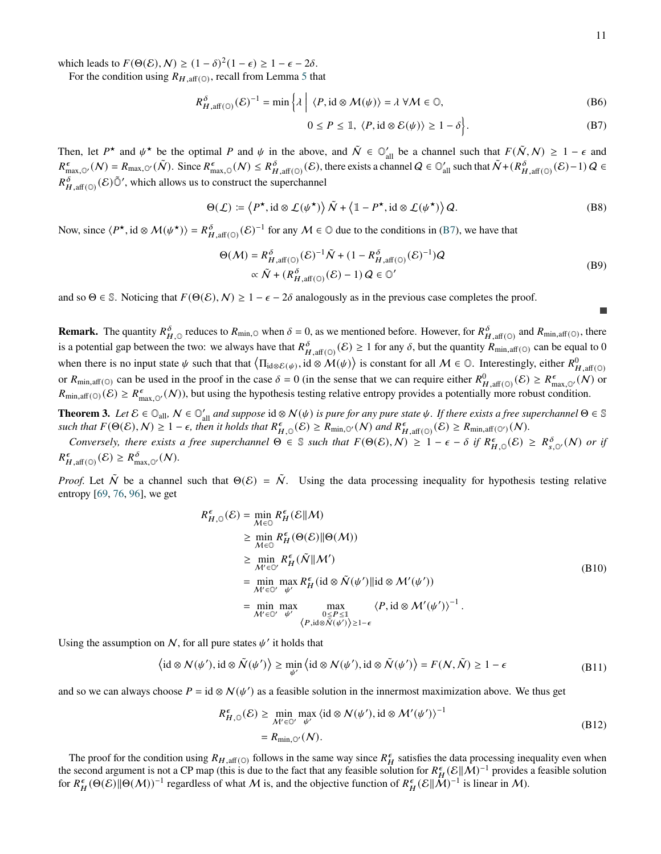which leads to  $F(\Theta(\mathcal{E}), \mathcal{N}) \ge (1 - \delta)^2 (1 - \epsilon) \ge 1 - \epsilon - 2\delta$ .

For the condition using  $R_{H, \text{aff}(\mathbb{O})}$ , recall from Lemma [5](#page-7-14) that

$$
R_{H,\text{aff}(\mathbb{O})}^{\delta}(\mathcal{E})^{-1} = \min \left\{ \lambda \mid \langle P, \text{id} \otimes \mathcal{M}(\psi) \rangle = \lambda \ \forall \mathcal{M} \in \mathbb{O}, \right\}
$$
 (B6)

<span id="page-10-0"></span>
$$
0 \le P \le \mathbb{1}, \ \langle P, \mathrm{id} \otimes \mathcal{E}(\psi) \rangle \ge 1 - \delta \Big\}. \tag{B7}
$$

Then, let  $P^*$  and  $\psi^*$  be the optimal P and  $\psi$  in the above, and  $\tilde{N} \in \mathbb{O}_{all}$  be a channel such that  $F(\tilde{N}, N) \geq 1 - \epsilon$  and  $R_{\max,\mathbb{Q}'}^{\epsilon}(N) = R_{\max,\mathbb{Q}'}(\tilde{N})$ . Since  $R_{\max,\mathbb{Q}}^{\epsilon}(N) \leq R_{H,\text{aff}(\mathbb{Q})}^{\delta}(\mathcal{E})$ , there exists a channel  $Q \in \mathbb{Q}'_{\text{all}}$  such that  $\tilde{N} + (R_{H,\text{aff}(\mathbb{Q})}^{\delta}(\mathcal{E}) - 1) Q \in$  $R_{H,\text{aff}(\mathbb{O})}^{\delta}(\mathcal{E})\tilde{\mathbb{O}}'$ , which allows us to construct the superchannel

$$
\Theta(\mathcal{L}) \coloneqq \left\langle P^{\star}, \mathrm{id} \otimes \mathcal{L}(\psi^{\star}) \right\rangle \tilde{N} + \left\langle \mathbb{1} - P^{\star}, \mathrm{id} \otimes \mathcal{L}(\psi^{\star}) \right\rangle Q. \tag{B8}
$$

Now, since  $\langle P^{\star}, id \otimes M(\psi^{\star}) \rangle = R_{H,aff(\mathbb{O})}^{\delta}(\mathcal{E})^{-1}$  for any  $M \in \mathbb{O}$  due to the conditions in [\(B7\)](#page-10-0), we have that

$$
\Theta(\mathcal{M}) = R_{H, \text{aff}(\mathbb{O})}^{\delta} (\mathcal{E})^{-1} \tilde{\mathcal{N}} + (1 - R_{H, \text{aff}(\mathbb{O})}^{\delta} (\mathcal{E})^{-1}) Q
$$
  
 
$$
\propto \tilde{\mathcal{N}} + (R_{H, \text{aff}(\mathbb{O})}^{\delta} (\mathcal{E}) - 1) Q \in \mathbb{O}'
$$
 (B9)

and so  $\Theta \in \mathbb{S}$ . Noticing that  $F(\Theta(\mathcal{E}), \mathcal{N}) \geq 1 - \epsilon - 2\delta$  analogously as in the previous case completes the proof.

**Remark.** The quantity  $R_{H,\mathbb{Q}}^{\delta}$  reduces to  $R_{\min,\mathbb{Q}}$  when  $\delta = 0$ , as we mentioned before. However, for  $R_{H,\text{aff}}^{\delta}(\mathbb{Q})$  and  $R_{\min,\text{aff}}(\mathbb{Q})$ , there is a potential gap between the two: we always have that  $R_{H,\text{aff}(\mathbb{Q})}^{\delta}(\mathcal{E}) \geq 1$  for any  $\delta$ , but the quantity  $R_{\text{min},\text{aff}(\mathbb{Q})}$  can be equal to 0 when there is no input state  $\psi$  such that that  $\langle \Pi_{id \otimes \mathcal{E}(\psi)}, id \otimes \mathcal{M}(\psi) \rangle$  is constant for all  $\mathcal{M} \in \mathbb{O}$ . Interestingly, either  $R^0_{H, \text{aff}(\mathbb{O})}$ or  $R_{\min, \text{aff}(\mathbb{O})}$  can be used in the proof in the case  $\delta = 0$  (in the sense that we can require either  $R_{H, \text{aff}(\mathbb{O})}^0(\mathcal{E}) \geq R_{\max, \mathbb{O}'}^{\epsilon}(\mathcal{N})$  or  $R_{\min,\text{aff}(\mathbb{O})}(\mathcal{E}) \geq R_{\max,\mathbb{O}'}^{\epsilon}(\mathcal{N})$ , but using the hypothesis testing relative entropy provides a potentially more robust condition.

**Theorem 3.** Let  $\mathcal{E} \in \mathbb{O}_{all}$ ,  $\mathcal{N} \in \mathbb{O}'_{all}$  and suppose id  $\otimes \mathcal{N}(\psi)$  is pure for any pure state  $\psi$ . If there exists a free superchannel  $\Theta \in \mathbb{S}$  $\mathcal{L}_{\text{sub}}^{\text{sub}}(E) = \mathcal{L}_{\text{sub}}^{\text{sub}}(E) = \mathcal{L}_{\text{sub}}^{\text{sub}}(E)$  is  $\mathcal{L}_{\text{sub}}^{\text{sub}}(E) \geq \mathcal{L}_{\text{min},\mathcal{O}'}(N)$  and  $\mathcal{R}_{H,\text{aff}(\mathcal{O})}^{\epsilon}(E) \geq \mathcal{R}_{\text{min},\text{aff}(\mathcal{O}')}(N)$ .

*Conversely, there exists a free superchannel*  $\Theta \in \mathbb{S}$  such that  $F(\Theta(\mathcal{E}), N) \geq 1 - \epsilon - \delta$  if  $R^{\epsilon}_{H, \mathbb{O}}(\mathcal{E}) \geq R^{\delta}_{s, \mathbb{O}'}(N)$  or if  $R_{H,\text{aff}(\mathbb{O})}^{\epsilon}(\mathcal{E}) \geq R_{\text{max},\mathbb{O}'}^{\delta}(\mathcal{N}).$ 

*Proof.* Let  $\tilde{N}$  be a channel such that  $\Theta(\mathcal{E}) = \tilde{N}$ . Using the data processing inequality for hypothesis testing relative entropy [\[69,](#page-6-2) [76,](#page-6-9) [96\]](#page-6-24), we get

$$
R_{H,0}^{\epsilon}(\mathcal{E}) = \min_{\mathcal{M}\in\mathbb{O}} R_H^{\epsilon}(\mathcal{E}||\mathcal{M})
$$
  
\n
$$
\geq \min_{\mathcal{M}\in\mathbb{O}} R_H^{\epsilon}(\Theta(\mathcal{E})||\Theta(\mathcal{M}))
$$
  
\n
$$
\geq \min_{\mathcal{M}'\in\mathbb{O}'} R_H^{\epsilon}(\tilde{\mathcal{N}}||\mathcal{M}')
$$
  
\n
$$
= \min_{\mathcal{M}'\in\mathbb{O}'} \max_{\psi'} R_H^{\epsilon}(\text{id}\otimes\tilde{\mathcal{N}}(\psi')||\text{id}\otimes\mathcal{M}'(\psi'))
$$
  
\n
$$
= \min_{\mathcal{M}'\in\mathbb{O}'} \max_{\psi'} \max_{\substack{0\leq P\leq 1\\ \langle P,\text{id}\otimes\tilde{\mathcal{N}}(\psi')\rangle\geq 1-\epsilon}} \langle P,\text{id}\otimes\mathcal{M}'(\psi')\rangle^{-1}.
$$
 (B10)

Using the assumption on  $N$ , for all pure states  $\psi'$  it holds that

$$
\langle \mathrm{id} \otimes \mathcal{N}(\psi'), \mathrm{id} \otimes \tilde{\mathcal{N}}(\psi') \rangle \ge \min_{\psi'} \langle \mathrm{id} \otimes \mathcal{N}(\psi'), \mathrm{id} \otimes \tilde{\mathcal{N}}(\psi') \rangle = F(\mathcal{N}, \tilde{\mathcal{N}}) \ge 1 - \epsilon
$$
 (B11)

and so we can always choose  $P = id \otimes N(\psi')$  as a feasible solution in the innermost maximization above. We thus get

$$
R_{H,\mathbb{Q}}^{\epsilon}(\mathcal{E}) \ge \min_{\mathcal{M}' \in \mathbb{Q}'} \max_{\psi'} \langle \mathrm{id} \otimes \mathcal{N}(\psi'), \mathrm{id} \otimes \mathcal{M}'(\psi') \rangle^{-1}
$$
  
=  $R_{\min,\mathbb{Q}'}(\mathcal{N}).$  (B12)

The proof for the condition using  $R_{H,\text{aff}(\mathbb{O})}$  follows in the same way since  $R_H^{\epsilon}$  satisfies the data processing inequality even when the second argument is not a CP map (this is due to the fact that any feasible solution for  $R_H^{\epsilon}(\mathcal{E}||\mathcal{M})^{-1}$  provides a feasible solution for  $R_H^{\epsilon}(\Theta(\mathcal{E})||\Theta(M))^{-1}$  regardless of what M is, and the objective function of  $R_H^{\epsilon}(\mathcal{E}||M)^{-1}$  is linear in M).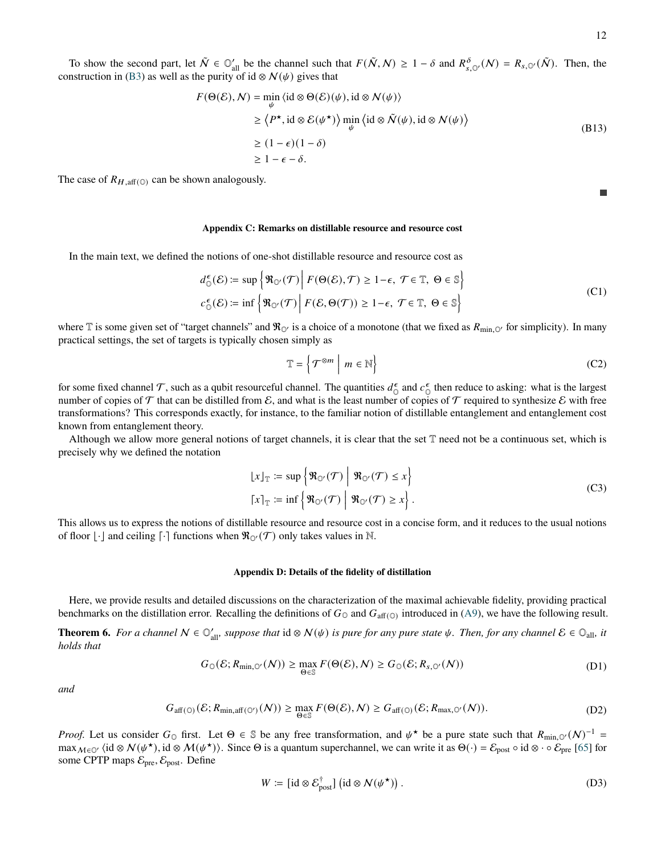$\overline{\phantom{a}}$ 

To show the second part, let  $\tilde{N} \in \mathbb{O}_{all}^{\prime}$  be the channel such that  $F(\tilde{N}, N) \geq 1 - \delta$  and  $R_{s,\mathbb{O}}^{\delta}(\mathcal{N}) = R_{s,\mathbb{O}^{\prime}}(\tilde{N})$ . Then, the construction in [\(B3\)](#page-9-1) as well as the purity of id ⊗  $\mathcal{N}(\psi)$  gives that

$$
F(\Theta(\mathcal{E}), N) = \min_{\psi} \langle id \otimes \Theta(\mathcal{E})(\psi), id \otimes N(\psi) \rangle
$$
  
\n
$$
\geq \langle P^{\star}, id \otimes \mathcal{E}(\psi^{\star}) \rangle \min_{\psi} \langle id \otimes \tilde{N}(\psi), id \otimes N(\psi) \rangle
$$
  
\n
$$
\geq (1 - \epsilon)(1 - \delta)
$$
  
\n
$$
\geq 1 - \epsilon - \delta.
$$
 (B13)

The case of  $R_{H, \text{aff}(\mathbb{Q})}$  can be shown analogously.

### **Appendix C: Remarks on distillable resource and resource cost**

In the main text, we defined the notions of one-shot distillable resource and resource cost as

$$
d_{0}^{\epsilon}(\mathcal{E}) \coloneqq \sup \left\{ \Re_{\mathbb{Q}'}(\mathcal{T}) \middle| F(\Theta(\mathcal{E}), \mathcal{T}) \ge 1 - \epsilon, \ \mathcal{T} \in \mathbb{T}, \ \Theta \in \mathbb{S} \right\}
$$
  

$$
c_{0}^{\epsilon}(\mathcal{E}) \coloneqq \inf \left\{ \Re_{\mathbb{Q}'}(\mathcal{T}) \middle| F(\mathcal{E}, \Theta(\mathcal{T})) \ge 1 - \epsilon, \ \mathcal{T} \in \mathbb{T}, \ \Theta \in \mathbb{S} \right\}
$$
 (C1)

where T is some given set of "target channels" and  $\Re_{\mathbb{O}}$  is a choice of a monotone (that we fixed as  $R_{\min,\mathbb{O}}$  for simplicity). In many practical settings, the set of targets is typically chosen simply as

$$
\mathbb{T} = \left\{ \mathcal{T}^{\otimes m} \mid m \in \mathbb{N} \right\} \tag{C2}
$$

for some fixed channel  $\mathcal T$ , such as a qubit resourceful channel. The quantities  $d_{\mathcal D}^{\epsilon}$  $\frac{\epsilon}{\sigma}$  and  $c_{\mathbb{C}}^{\epsilon}$  $\epsilon$  then reduce to asking: what is the largest number of copies of  $\tau$  that can be distilled from  $\mathcal E$ , and what is the least number of copies of  $\tau$  required to synthesize  $\mathcal E$  with free transformations? This corresponds exactly, for instance, to the familiar notion of distillable entanglement and entanglement cost known from entanglement theory.

Although we allow more general notions of target channels, it is clear that the set  $\mathbb T$  need not be a continuous set, which is precisely why we defined the notation

$$
\begin{aligned} \lfloor x \rfloor_{\mathbb{T}} &:= \sup \left\{ \Re_{\mathbb{O}'}(\mathcal{T}) \; \middle| \; \Re_{\mathbb{O}'}(\mathcal{T}) \le x \right\} \\ \lceil x \rceil_{\mathbb{T}} &:= \inf \left\{ \Re_{\mathbb{O}'}(\mathcal{T}) \; \middle| \; \Re_{\mathbb{O}'}(\mathcal{T}) \ge x \right\}. \end{aligned} \tag{C3}
$$

This allows us to express the notions of distillable resource and resource cost in a concise form, and it reduces to the usual notions of floor  $\lfloor \cdot \rfloor$  and ceiling  $\lceil \cdot \rceil$  functions when  $\Re_{\mathbb{Q}}(\mathcal{T})$  only takes values in N.

### **Appendix D: Details of the fidelity of distillation**

Here, we provide results and detailed discussions on the characterization of the maximal achievable fidelity, providing practical benchmarks on the distillation error. Recalling the definitions of  $G_0$  and  $G_{\text{aff}}(0)$  introduced in [\(A9\)](#page-8-0), we have the following result.

**Theorem 6.** For a channel  $N \in \mathbb{O}_{all}$ *, suppose that* id ⊗  $N(\psi)$  is pure for any pure state  $\psi$ . Then, for any channel  $\mathcal{E} \in \mathbb{O}_{all}$ , it *holds that*

$$
G_{\mathbb{O}}(\mathcal{E}; R_{\min,\mathbb{O}'}(\mathcal{N})) \ge \max_{\Theta \in \mathbb{S}} F(\Theta(\mathcal{E}), \mathcal{N}) \ge G_{\mathbb{O}}(\mathcal{E}; R_{s,\mathbb{O}'}(\mathcal{N}))
$$
(D1)

*and*

$$
G_{\text{aff}(\mathbb{O})}(\mathcal{E}; R_{\min, \text{aff}(\mathbb{O}')}(\mathcal{N})) \ge \max_{\Theta \in \mathbb{S}} F(\Theta(\mathcal{E}), \mathcal{N}) \ge G_{\text{aff}(\mathbb{O})}(\mathcal{E}; R_{\max, \mathbb{O}'}(\mathcal{N})).
$$
\n(D2)

*Proof.* Let us consider  $G_0$  first. Let  $\Theta \in \mathbb{S}$  be any free transformation, and  $\psi^*$  be a pure state such that  $R_{\min,0}(N)^{-1} =$ max  $_{M\in\mathbb{O}'}$  (id  $\otimes N(\psi^*)$ , id  $\otimes M(\psi^*)$ ). Since  $\Theta$  is a quantum superchannel, we can write it as  $\Theta(\cdot) = \mathcal{E}_{\text{post}} \circ id \otimes \cdot \circ \mathcal{E}_{\text{pre}}$  [\[65\]](#page-5-19) for some CPTP maps  $\mathcal{E}_{pre}, \mathcal{E}_{post}$ . Define

$$
W := [\mathrm{id} \otimes \mathcal{E}_{\text{post}}^{\dagger}] (\mathrm{id} \otimes \mathcal{N}(\psi^{\star})). \tag{D3}
$$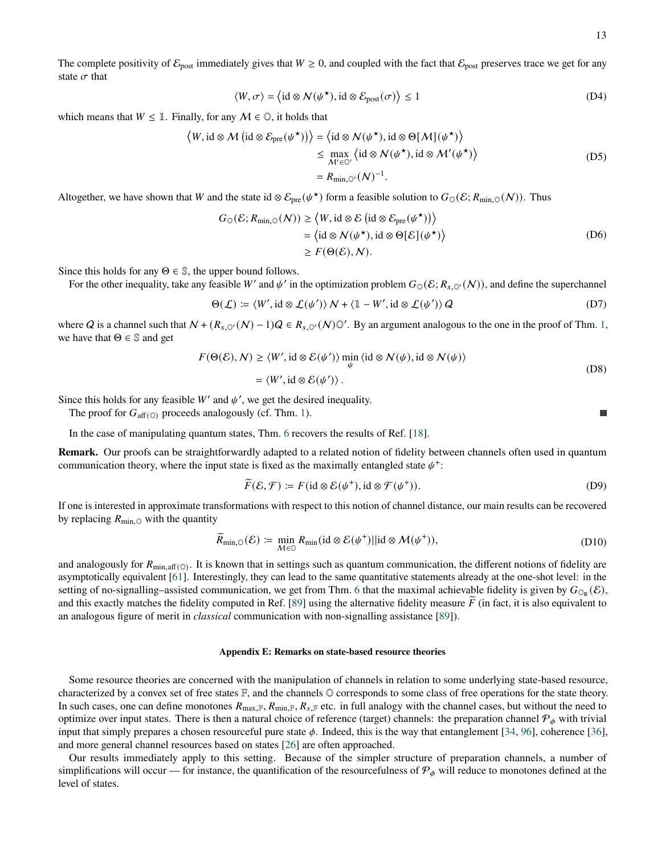The complete positivity of  $\mathcal{E}_{\text{post}}$  immediately gives that  $W \ge 0$ , and coupled with the fact that  $\mathcal{E}_{\text{post}}$  preserves trace we get for any state  $\sigma$  that

$$
\langle W, \sigma \rangle = \langle id \otimes \mathcal{N}(\psi^{\star}), id \otimes \mathcal{E}_{\text{post}}(\sigma) \rangle \le 1
$$
 (D4)

which means that  $W \leq \mathbb{1}$ . Finally, for any  $M \in \mathbb{O}$ , it holds that

$$
\langle W, \mathrm{id} \otimes M \left( \mathrm{id} \otimes \mathcal{E}_{\mathrm{pre}}(\psi^{\star}) \right) \rangle = \langle \mathrm{id} \otimes N(\psi^{\star}), \mathrm{id} \otimes \Theta[M](\psi^{\star}) \rangle
$$
  
\n
$$
\leq \max_{\mathcal{M}' \in \mathbb{O}'} \langle \mathrm{id} \otimes N(\psi^{\star}), \mathrm{id} \otimes M'(\psi^{\star}) \rangle
$$
  
\n
$$
= R_{\min, \mathbb{O}'}(N)^{-1}.
$$
 (D5)

Altogether, we have shown that W and the state id ⊗  $\mathcal{E}_{pre}(\psi^{\star})$  form a feasible solution to  $G_0(\mathcal{E}; R_{min,0}(\mathcal{N}))$ . Thus

$$
G_{\mathbb{O}}(\mathcal{E}; R_{\min, \mathbb{O}}(\mathcal{N})) \ge \langle W, \text{id} \otimes \mathcal{E} (\text{id} \otimes \mathcal{E}_{\text{pre}}(\psi^{\star})) \rangle
$$
  
=  $\langle \text{id} \otimes \mathcal{N}(\psi^{\star}), \text{id} \otimes \Theta[\mathcal{E}](\psi^{\star}) \rangle$   
 $\ge F(\Theta(\mathcal{E}), \mathcal{N}).$  (D6)

Since this holds for any  $\Theta \in \mathbb{S}$ , the upper bound follows.

For the other inequality, take any feasible W' and  $\psi'$  in the optimization problem  $G_0(\mathcal{E}; R_{s,0'}(\mathcal{N}))$ , and define the superchannel

$$
\Theta(\mathcal{L}) \coloneqq \langle W', \mathrm{id} \otimes \mathcal{L}(\psi') \rangle N + \langle \mathbb{1} - W', \mathrm{id} \otimes \mathcal{L}(\psi') \rangle Q \tag{D7}
$$

where Q is a channel such that  $N + (R_{s,0}(N) - 1)Q \in R_{s,0}(N)$   $\mathbb{O}'$ . By an argument analogous to the one in the proof of Thm. [1,](#page-1-0) we have that  $\Theta \in \mathbb{S}$  and get

$$
F(\Theta(\mathcal{E}), N) \ge \langle W', \mathrm{id} \otimes \mathcal{E}(\psi') \rangle \min_{\psi} \langle \mathrm{id} \otimes N(\psi), \mathrm{id} \otimes N(\psi) \rangle
$$
  
=  $\langle W', \mathrm{id} \otimes \mathcal{E}(\psi') \rangle$ . (D8)

Since this holds for any feasible  $W'$  and  $\psi'$ , we get the desired inequality.

The proof for  $G_{\text{aff}(\mathbb{O})}$  proceeds analogously (cf. Thm. [1\)](#page-1-0).

In the case of manipulating quantum states, Thm. [6](#page-9-2) recovers the results of Ref. [\[18\]](#page-4-5).

**Remark.** Our proofs can be straightforwardly adapted to a related notion of fidelity between channels often used in quantum communication theory, where the input state is fixed as the maximally entangled state  $\psi^+$ :

$$
\widetilde{F}(\mathcal{E}, \mathcal{F}) \coloneqq F(\mathrm{id} \otimes \mathcal{E}(\psi^+), \mathrm{id} \otimes \mathcal{F}(\psi^+)). \tag{D9}
$$

If one is interested in approximate transformations with respect to this notion of channel distance, our main results can be recovered by replacing  $R_{\text{min},\odot}$  with the quantity

$$
\widetilde{R}_{\min,\mathbb{Q}}(\mathcal{E}) \coloneqq \min_{\mathcal{M}\in\mathbb{Q}} R_{\min}(\text{id}\otimes\mathcal{E}(\psi^+)||\text{id}\otimes\mathcal{M}(\psi^+)),\tag{D10}
$$

and analogously for  $R_{min,aff(0)}$ . It is known that in settings such as quantum communication, the different notions of fidelity are asymptotically equivalent [\[61\]](#page-5-31). Interestingly, they can lead to the same quantitative statements already at the one-shot level: in the setting of no-signalling–assisted communication, we get from Thm. [6](#page-9-2) that the maximal achievable fidelity is given by  $G_{\mathbb{O}_R}(\mathcal{E})$ , and this exactly matches the fidelity computed in Ref. [\[89\]](#page-6-17) using the alternative fidelity measure  $\overline{F}$  (in fact, it is also equivalent to an analogous figure of merit in *classical* communication with non-signalling assistance [\[89\]](#page-6-17)).

# **Appendix E: Remarks on state-based resource theories**

Some resource theories are concerned with the manipulation of channels in relation to some underlying state-based resource, characterized by a convex set of free states F, and the channels O corresponds to some class of free operations for the state theory. In such cases, one can define monotones  $R_{\text{max},F}$ ,  $R_{\text{min},F}$ ,  $R_{s,F}$  etc. in full analogy with the channel cases, but without the need to optimize over input states. There is then a natural choice of reference (target) channels: the preparation channel  $\mathcal{P}_{\phi}$  with trivial input that simply prepares a chosen resourceful pure state  $\phi$ . Indeed, this is the way that entanglement [\[34,](#page-5-24) [96\]](#page-6-24), coherence [\[36\]](#page-5-27), and more general channel resources based on states [\[26\]](#page-5-3) are often approached.

Our results immediately apply to this setting. Because of the simpler structure of preparation channels, a number of simplifications will occur — for instance, the quantification of the resourcefulness of  $\mathcal{P}_{\phi}$  will reduce to monotones defined at the level of states.

п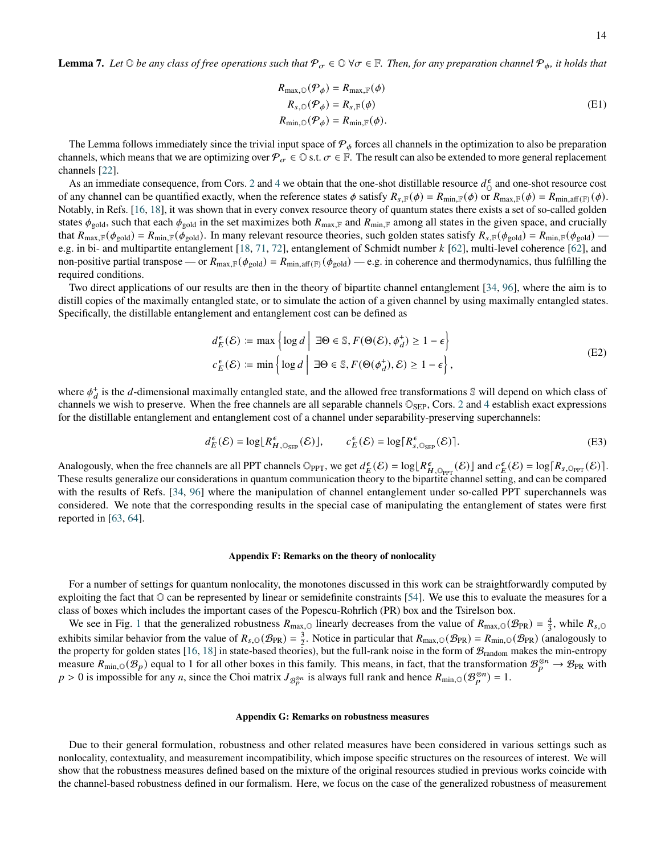**Lemma 7.** Let  $\odot$  *be any class of free operations such that*  $\mathcal{P}_{\sigma} \in \mathbb{O}$   $\forall \sigma \in \mathbb{F}$ . Then, for any preparation channel  $\mathcal{P}_{\phi}$ , it holds that

$$
R_{\max,0}(\mathcal{P}_{\phi}) = R_{\max,\mathbb{F}}(\phi)
$$
  
\n
$$
R_{s,0}(\mathcal{P}_{\phi}) = R_{s,\mathbb{F}}(\phi)
$$
  
\n
$$
R_{\min,0}(\mathcal{P}_{\phi}) = R_{\min,\mathbb{F}}(\phi).
$$
\n(E1)

The Lemma follows immediately since the trivial input space of  $P_{\phi}$  forces all channels in the optimization to also be preparation channels, which means that we are optimizing over  $\mathcal{P}_{\sigma} \in \mathbb{D}$  s.t.  $\sigma \in \mathbb{F}$ . The result can also be extended to more general replacement channels [\[22\]](#page-5-1).

As an immediate consequence, from Cors. [2](#page-2-2) and [4](#page-2-1) we obtain that the one-shot distillable resource  $d_{\Omega}^{\epsilon}$  $\int_{0}^{\epsilon}$  and one-shot resource cost of any channel can be quantified exactly, when the reference states  $\phi$  satisfy  $R_{s,F}(\phi) = R_{\min,F}(\phi)$  or  $R_{\max,F}(\phi) = R_{\min,aff(F)}(\phi)$ . Notably, in Refs. [\[16,](#page-4-7) [18\]](#page-4-5), it was shown that in every convex resource theory of quantum states there exists a set of so-called golden states  $\phi_{\text{gold}}$ , such that each  $\phi_{\text{gold}}$  in the set maximizes both  $R_{\text{max,F}}$  and  $R_{\text{min,F}}$  among all states in the given space, and crucially that  $R_{\text{max,F}}(\phi_{\text{gold}}) = R_{\text{min,F}}(\phi_{\text{gold}})$ . In many relevant resource theories, such golden states satisfy  $R_{s,F}(\phi_{\text{gold}}) = R_{\text{min,F}}(\phi_{\text{gold}})$ e.g. in bi- and multipartite entanglement  $[18, 71, 72]$  $[18, 71, 72]$  $[18, 71, 72]$  $[18, 71, 72]$  $[18, 71, 72]$ , entanglement of Schmidt number  $k$  [\[62\]](#page-5-32), multi-level coherence [62], and non-positive partial transpose — or  $R_{\text{max,F}}(\phi_{\text{gold}}) = R_{\text{min,aff}(F)}(\phi_{\text{gold}})$  — e.g. in coherence and thermodynamics, thus fulfilling the required conditions.

Two direct applications of our results are then in the theory of bipartite channel entanglement [\[34,](#page-5-24) [96\]](#page-6-24), where the aim is to distill copies of the maximally entangled state, or to simulate the action of a given channel by using maximally entangled states. Specifically, the distillable entanglement and entanglement cost can be defined as

$$
d_E^{\epsilon}(\mathcal{E}) \coloneqq \max \left\{ \log d \mid \exists \Theta \in \mathbb{S}, F(\Theta(\mathcal{E}), \phi_d^+) \ge 1 - \epsilon \right\}
$$
  

$$
c_E^{\epsilon}(\mathcal{E}) \coloneqq \min \left\{ \log d \mid \exists \Theta \in \mathbb{S}, F(\Theta(\phi_d^+), \mathcal{E}) \ge 1 - \epsilon \right\},
$$
 (E2)

where  $\phi_d^+$  is the d-dimensional maximally entangled state, and the allowed free transformations  $\mathbb S$  will depend on which class of channels we wish to preserve. When the free channels are all separable channels  $\mathbb{O}_{\text{SEP}}$ , Cors. [2](#page-2-2) and [4](#page-2-1) establish exact expressions for the distillable entanglement and entanglement cost of a channel under separability-preserving superchannels:

$$
d_E^{\epsilon}(\mathcal{E}) = \log \lfloor R_{H,\mathbb{O}_{\text{SEP}}}^{\epsilon}(\mathcal{E}) \rfloor, \qquad c_E^{\epsilon}(\mathcal{E}) = \log \lceil R_{s,\mathbb{O}_{\text{SEP}}}^{\epsilon}(\mathcal{E}) \rceil. \tag{E3}
$$

Analogously, when the free channels are all PPT channels  $\mathbb{O}_{PPT}$ , we get  $d_E^{\epsilon}(\mathcal{E}) = \log[R_{H, \mathbb{O}_{PPT}}(\mathcal{E})]$  and  $c_E^{\epsilon}(\mathcal{E}) = \log[R_{s, \mathbb{O}_{PPT}}(\mathcal{E})]$ . These results generalize our considerations in quantum communication theory to the bipartite channel setting, and can be compared with the results of Refs. [\[34,](#page-5-24) [96\]](#page-6-24) where the manipulation of channel entanglement under so-called PPT superchannels was considered. We note that the corresponding results in the special case of manipulating the entanglement of states were first reported in [\[63,](#page-5-33) [64\]](#page-5-29).

# **Appendix F: Remarks on the theory of nonlocality**

For a number of settings for quantum nonlocality, the monotones discussed in this work can be straightforwardly computed by exploiting the fact that  $\odot$  can be represented by linear or semidefinite constraints [\[54\]](#page-5-14). We use this to evaluate the measures for a class of boxes which includes the important cases of the Popescu-Rohrlich (PR) box and the Tsirelson box.

We see in Fig. [1](#page-14-0) that the generalized robustness  $R_{\text{max},\odot}$  linearly decreases from the value of  $R_{\text{max},\odot}(\mathcal{B}_{\text{PR}}) = \frac{4}{3}$ , while  $R_{s,\odot}$ exhibits similar behavior from the value of  $R_{s,0}(\mathcal{B}_{PR}) = \frac{3}{2}$ . Notice in particular that  $R_{\text{max},0}(\mathcal{B}_{PR}) = R_{\text{min},0}(\mathcal{B}_{PR})$  (analogously to the property for golden states [\[16,](#page-4-7) [18\]](#page-4-5) in state-based theories), but the full-rank noise in the form of  $\mathcal{B}_{random}$  makes the min-entropy measure  $R_{\min,0}(\mathcal{B}_p)$  equal to 1 for all other boxes in this family. This means, in fact, that the transformation  $\mathcal{B}_p^{\otimes n} \to \mathcal{B}_{PR}$  with  $p > 0$  is impossible for any *n*, since the Choi matrix  $J_{\mathcal{B}_p^{\otimes n}}$  is always full rank and hence  $R_{\min,0}(\mathcal{B}_p^{\otimes n}) = 1$ .

### **Appendix G: Remarks on robustness measures**

Due to their general formulation, robustness and other related measures have been considered in various settings such as nonlocality, contextuality, and measurement incompatibility, which impose specific structures on the resources of interest. We will show that the robustness measures defined based on the mixture of the original resources studied in previous works coincide with the channel-based robustness defined in our formalism. Here, we focus on the case of the generalized robustness of measurement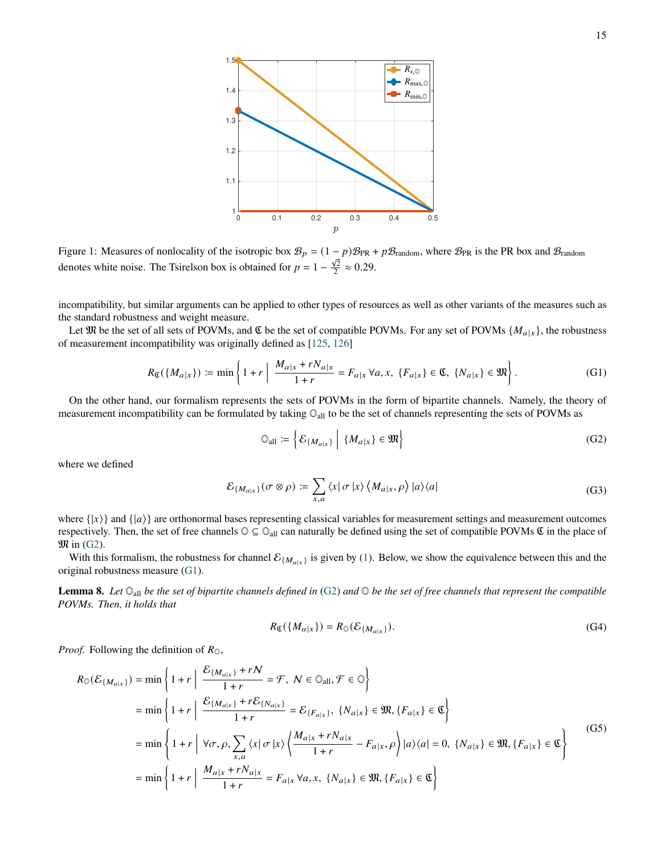<span id="page-14-0"></span>

Figure 1: Measures of nonlocality of the isotropic box  $B_p = (1-p)B_{PR} + pB_{\text{random}}$ , where  $B_{PR}$  is the PR box and  $B_{\text{random}}$ denotes white noise. The Tsirelson box is obtained for  $p = 1 - \frac{\sqrt{2}}{2} \approx 0.29$ .

incompatibility, but similar arguments can be applied to other types of resources as well as other variants of the measures such as the standard robustness and weight measure.

Let  $\mathfrak M$  be the set of all sets of POVMs, and  $\mathfrak C$  be the set of compatible POVMs. For any set of POVMs  $\{M_{a|x}\}\$ , the robustness of measurement incompatibility was originally defined as [\[125,](#page-7-9) [126\]](#page-7-15)

<span id="page-14-2"></span>
$$
R_{\mathfrak{C}}(\{M_{a|x}\}) \coloneqq \min\left\{1 + r \left| \frac{M_{a|x} + rN_{a|x}}{1 + r} = F_{a|x} \,\forall a, x, \, \{F_{a|x}\} \in \mathfrak{C}, \, \{N_{a|x}\} \in \mathfrak{M}\right.\right\}.
$$
 (G1)

On the other hand, our formalism represents the sets of POVMs in the form of bipartite channels. Namely, the theory of measurement incompatibility can be formulated by taking  $\mathbb{O}_{all}$  to be the set of channels representing the sets of POVMs as

<span id="page-14-1"></span>
$$
\mathbb{O}_{\text{all}} \coloneqq \left\{ \mathcal{E}_{\{M_{a|x}\}} \middle| \{M_{a|x}\} \in \mathfrak{M} \right\} \tag{G2}
$$

where we defined

$$
\mathcal{E}_{\{M_{a|x}\}}(\sigma \otimes \rho) \coloneqq \sum_{x,a} \langle x | \sigma | x \rangle \langle M_{a|x}, \rho \rangle |a \rangle \langle a| \tag{G3}
$$

where  $\{|x\rangle\}$  and  $\{|a\rangle\}$  are orthonormal bases representing classical variables for measurement settings and measurement outcomes respectively. Then, the set of free channels  $\mathbb{O} \subseteq \mathbb{O}_{all}$  can naturally be defined using the set of compatible POVMs  $\mathfrak{C}$  in the place of  $\mathfrak{M}$  in [\(G2\)](#page-14-1).

With this formalism, the robustness for channel  $\mathcal{E}_{\{M_{a|x}\}}$  is given by [\(1\)](#page-1-1). Below, we show the equivalence between this and the original robustness measure [\(G1\)](#page-14-2).

**Lemma 8.** *Let* Oall *be the set of bipartite channels defined in* [\(G2\)](#page-14-1) *and* O *be the set of free channels that represent the compatible POVMs. Then, it holds that*

$$
R_{\mathfrak{C}}(\{M_{a|x}\}) = R_{\mathfrak{O}}(\mathcal{E}_{\{M_{a|x}\}}). \tag{G4}
$$

*Proof.* Following the definition of  $R_{\odot}$ ,

$$
R_{\mathbb{O}}(\mathcal{E}_{\{M_{a|x}\}}) = \min\left\{1+r \mid \frac{\mathcal{E}_{\{M_{a|x}\}}+rN}{1+r} = \mathcal{F}, N \in \mathbb{O}_{\text{all}}, \mathcal{F} \in \mathbb{O}\right\}
$$
  
\n
$$
= \min\left\{1+r \mid \frac{\mathcal{E}_{\{M_{a|x}\}}+r\mathcal{E}_{\{N_{a|x}\}}}{1+r} = \mathcal{E}_{\{F_{a|x}\}}, \{N_{a|x}\} \in \mathfrak{M}, \{F_{a|x}\} \in \mathfrak{C}\right\}
$$
  
\n
$$
= \min\left\{1+r \mid \forall \sigma, \rho, \sum_{x,a} \langle x | \sigma | x \rangle \left\langle \frac{M_{a|x}+rN_{a|x}}{1+r} - F_{a|x}, \rho \right\rangle |a\rangle\langle a| = 0, \{N_{a|x}\} \in \mathfrak{M}, \{F_{a|x}\} \in \mathfrak{C}\right\}
$$
  
\n
$$
= \min\left\{1+r \mid \frac{M_{a|x}+rN_{a|x}}{1+r} = F_{a|x}\,\forall a,x, \{N_{a|x}\} \in \mathfrak{M}, \{F_{a|x}\} \in \mathfrak{C}\right\}
$$
  
\n(G5)